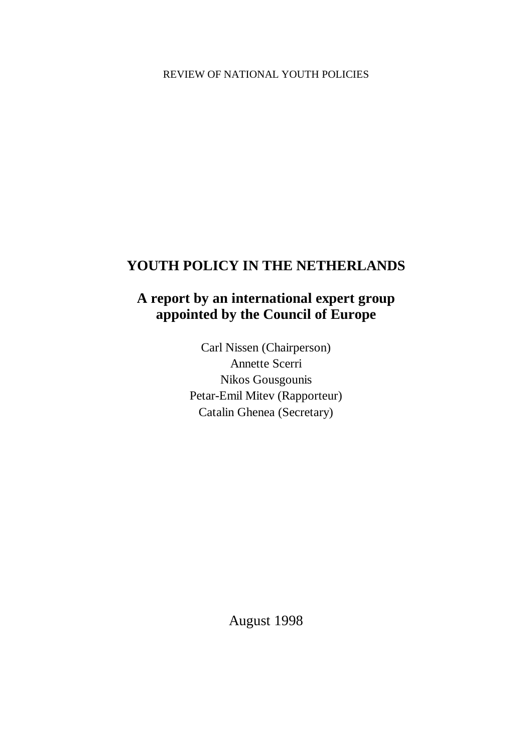# **YOUTH POLICY IN THE NETHERLANDS**

# **A report by an international expert group appointed by the Council of Europe**

Carl Nissen (Chairperson) Annette Scerri Nikos Gousgounis Petar-Emil Mitev (Rapporteur) Catalin Ghenea (Secretary)

August 1998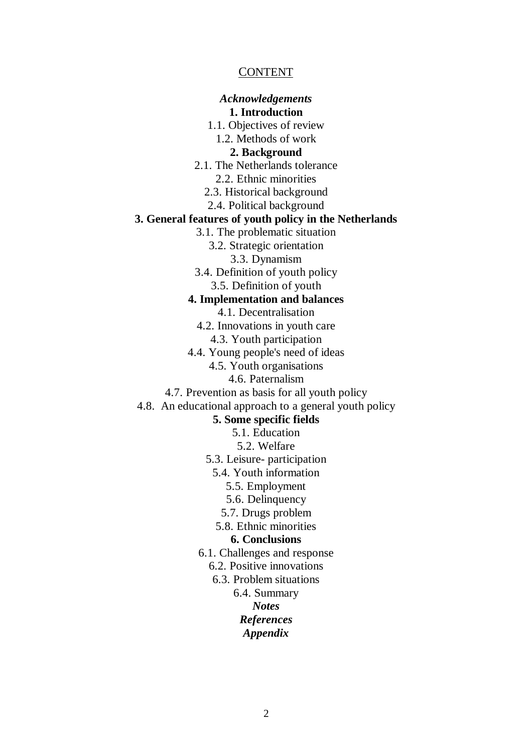#### CONTENT

#### *Acknowledgements*

#### **1. Introduction**

1.1. Objectives of review

1.2. Methods of work

**2. Background**

- 2.1. The Netherlands tolerance
	- 2.2. Ethnic minorities
	- 2.3. Historical background
	- 2.4. Political background

#### **3. General features of youth policy in the Netherlands**

3.1. The problematic situation

3.2. Strategic orientation

- 3.3. Dynamism
- 3.4. Definition of youth policy
	- 3.5. Definition of youth

#### **4. Implementation and balances**

- 4.1. Decentralisation
- 4.2. Innovations in youth care
	- 4.3. Youth participation
- 4.4. Young people's need of ideas
	- 4.5. Youth organisations
		- 4.6. Paternalism
- 4.7. Prevention as basis for all youth policy

#### 4.8. An educational approach to a general youth policy

#### **5. Some specific fields**

5.1. Education

- 5.2. Welfare
- 5.3. Leisure- participation
	- 5.4. Youth information
		- 5.5. Employment
		- 5.6. Delinquency
		- 5.7. Drugs problem
	- 5.8. Ethnic minorities

#### **6. Conclusions**

- 6.1. Challenges and response
	- 6.2. Positive innovations
	- 6.3. Problem situations
		- 6.4. Summary
			- *Notes*

### *References*

#### *Appendix*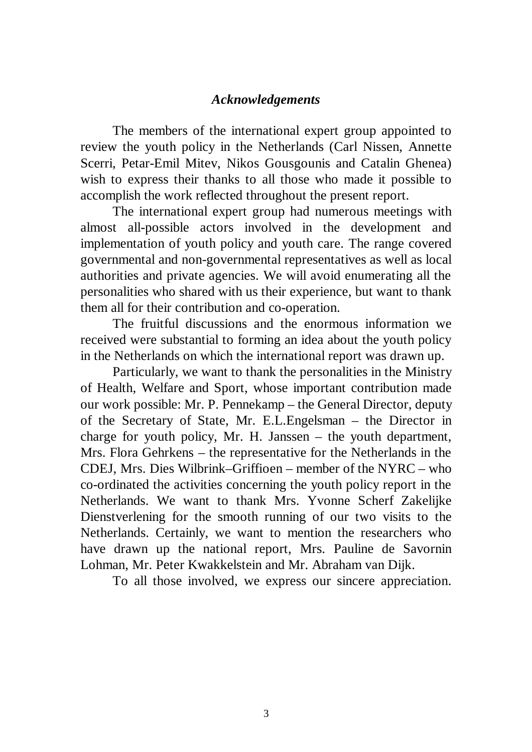## *Acknowledgements*

The members of the international expert group appointed to review the youth policy in the Netherlands (Carl Nissen, Annette Scerri, Petar-Emil Mitev, Nikos Gousgounis and Catalin Ghenea) wish to express their thanks to all those who made it possible to accomplish the work reflected throughout the present report.

The international expert group had numerous meetings with almost all-possible actors involved in the development and implementation of youth policy and youth care. The range covered governmental and non-governmental representatives as well as local authorities and private agencies. We will avoid enumerating all the personalities who shared with us their experience, but want to thank them all for their contribution and co-operation.

The fruitful discussions and the enormous information we received were substantial to forming an idea about the youth policy in the Netherlands on which the international report was drawn up.

Particularly, we want to thank the personalities in the Ministry of Health, Welfare and Sport, whose important contribution made our work possible: Mr. P. Pennekamp – the General Director, deputy of the Secretary of State, Mr. E.L.Engelsman – the Director in charge for youth policy, Mr. H. Janssen – the youth department, Mrs. Flora Gehrkens – the representative for the Netherlands in the CDEJ, Mrs. Dies Wilbrink–Griffioen – member of the NYRC – who co-ordinated the activities concerning the youth policy report in the Netherlands. We want to thank Mrs. Yvonne Scherf Zakelijke Dienstverlening for the smooth running of our two visits to the Netherlands. Certainly, we want to mention the researchers who have drawn up the national report, Mrs. Pauline de Savornin Lohman, Mr. Peter Kwakkelstein and Mr. Abraham van Dijk.

To all those involved, we express our sincere appreciation.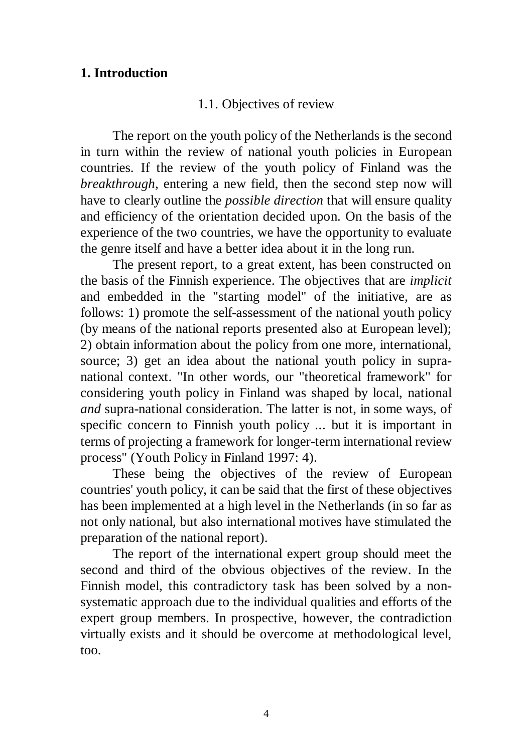## **1. Introduction**

## 1.1. Objectives of review

The report on the youth policy of the Netherlands is the second in turn within the review of national youth policies in European countries. If the review of the youth policy of Finland was the *breakthrough*, entering a new field, then the second step now will have to clearly outline the *possible direction* that will ensure quality and efficiency of the orientation decided upon. On the basis of the experience of the two countries, we have the opportunity to evaluate the genre itself and have a better idea about it in the long run.

The present report, to a great extent, has been constructed on the basis of the Finnish experience. The objectives that are *implicit* and embedded in the "starting model" of the initiative, are as follows: 1) promote the self-assessment of the national youth policy (by means of the national reports presented also at European level); 2) obtain information about the policy from one more, international, source; 3) get an idea about the national youth policy in supranational context. "In other words, our "theoretical framework" for considering youth policy in Finland was shaped by local, national *and* supra-national consideration. The latter is not, in some ways, of specific concern to Finnish youth policy ... but it is important in terms of projecting a framework for longer-term international review process" (Youth Policy in Finland 1997: 4).

These being the objectives of the review of European countries' youth policy, it can be said that the first of these objectives has been implemented at a high level in the Netherlands (in so far as not only national, but also international motives have stimulated the preparation of the national report).

The report of the international expert group should meet the second and third of the obvious objectives of the review. In the Finnish model, this contradictory task has been solved by a nonsystematic approach due to the individual qualities and efforts of the expert group members. In prospective, however, the contradiction virtually exists and it should be overcome at methodological level, too.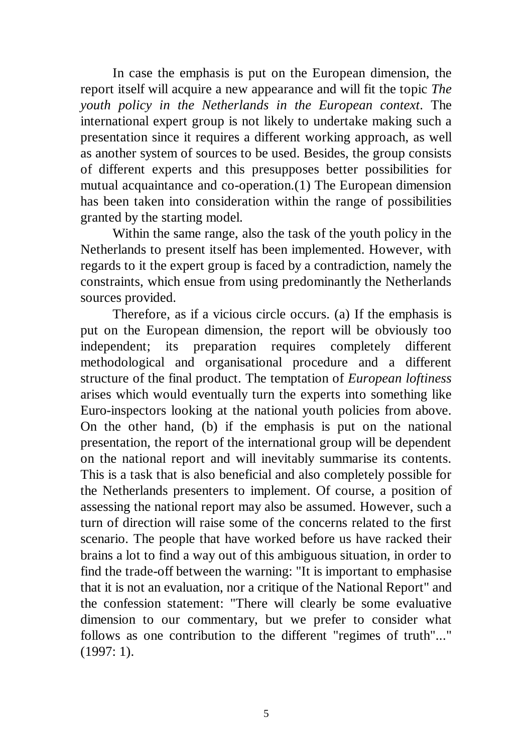In case the emphasis is put on the European dimension, the report itself will acquire a new appearance and will fit the topic *The youth policy in the Netherlands in the European context*. The international expert group is not likely to undertake making such a presentation since it requires a different working approach, as well as another system of sources to be used. Besides, the group consists of different experts and this presupposes better possibilities for mutual acquaintance and co-operation.(1) The European dimension has been taken into consideration within the range of possibilities granted by the starting model.

Within the same range, also the task of the youth policy in the Netherlands to present itself has been implemented. However, with regards to it the expert group is faced by a contradiction, namely the constraints, which ensue from using predominantly the Netherlands sources provided.

Therefore, as if a vicious circle occurs. (a) If the emphasis is put on the European dimension, the report will be obviously too independent; its preparation requires completely different methodological and organisational procedure and a different structure of the final product. The temptation of *European loftiness* arises which would eventually turn the experts into something like Euro-inspectors looking at the national youth policies from above. On the other hand, (b) if the emphasis is put on the national presentation, the report of the international group will be dependent on the national report and will inevitably summarise its contents. This is a task that is also beneficial and also completely possible for the Netherlands presenters to implement. Of course, a position of assessing the national report may also be assumed. However, such a turn of direction will raise some of the concerns related to the first scenario. The people that have worked before us have racked their brains a lot to find a way out of this ambiguous situation, in order to find the trade-off between the warning: "It is important to emphasise that it is not an evaluation, nor a critique of the National Report" and the confession statement: "There will clearly be some evaluative dimension to our commentary, but we prefer to consider what follows as one contribution to the different "regimes of truth"..." (1997: 1).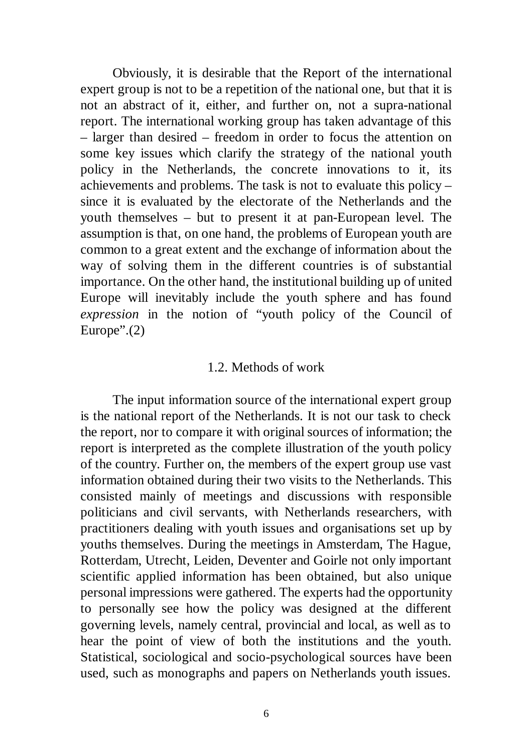Obviously, it is desirable that the Report of the international expert group is not to be a repetition of the national one, but that it is not an abstract of it, either, and further on, not a supra-national report. The international working group has taken advantage of this – larger than desired – freedom in order to focus the attention on some key issues which clarify the strategy of the national youth policy in the Netherlands, the concrete innovations to it, its achievements and problems. The task is not to evaluate this policy – since it is evaluated by the electorate of the Netherlands and the youth themselves – but to present it at pan-European level. The assumption is that, on one hand, the problems of European youth are common to a great extent and the exchange of information about the way of solving them in the different countries is of substantial importance. On the other hand, the institutional building up of united Europe will inevitably include the youth sphere and has found *expression* in the notion of "youth policy of the Council of Europe". $(2)$ 

#### 1.2. Methods of work

The input information source of the international expert group is the national report of the Netherlands. It is not our task to check the report, nor to compare it with original sources of information; the report is interpreted as the complete illustration of the youth policy of the country. Further on, the members of the expert group use vast information obtained during their two visits to the Netherlands. This consisted mainly of meetings and discussions with responsible politicians and civil servants, with Netherlands researchers, with practitioners dealing with youth issues and organisations set up by youths themselves. During the meetings in Amsterdam, The Hague, Rotterdam, Utrecht, Leiden, Deventer and Goirle not only important scientific applied information has been obtained, but also unique personal impressions were gathered. The experts had the opportunity to personally see how the policy was designed at the different governing levels, namely central, provincial and local, as well as to hear the point of view of both the institutions and the youth. Statistical, sociological and socio-psychological sources have been used, such as monographs and papers on Netherlands youth issues.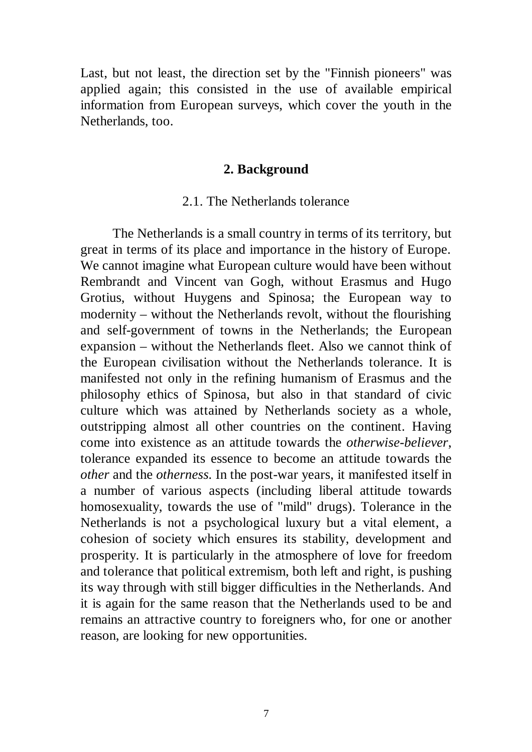Last, but not least, the direction set by the "Finnish pioneers" was applied again; this consisted in the use of available empirical information from European surveys, which cover the youth in the Netherlands, too.

#### **2. Background**

#### 2.1. The Netherlands tolerance

The Netherlands is a small country in terms of its territory, but great in terms of its place and importance in the history of Europe. We cannot imagine what European culture would have been without Rembrandt and Vincent van Gogh, without Erasmus and Hugo Grotius, without Huygens and Spinosa; the European way to modernity – without the Netherlands revolt, without the flourishing and self-government of towns in the Netherlands; the European expansion – without the Netherlands fleet. Also we cannot think of the European civilisation without the Netherlands tolerance. It is manifested not only in the refining humanism of Erasmus and the philosophy ethics of Spinosa, but also in that standard of civic culture which was attained by Netherlands society as a whole, outstripping almost all other countries on the continent. Having come into existence as an attitude towards the *otherwise-believer*, tolerance expanded its essence to become an attitude towards the *other* and the *otherness.* In the post-war years, it manifested itself in a number of various aspects (including liberal attitude towards homosexuality, towards the use of "mild" drugs). Tolerance in the Netherlands is not a psychological luxury but a vital element, a cohesion of society which ensures its stability, development and prosperity. It is particularly in the atmosphere of love for freedom and tolerance that political extremism, both left and right, is pushing its way through with still bigger difficulties in the Netherlands. And it is again for the same reason that the Netherlands used to be and remains an attractive country to foreigners who, for one or another reason, are looking for new opportunities.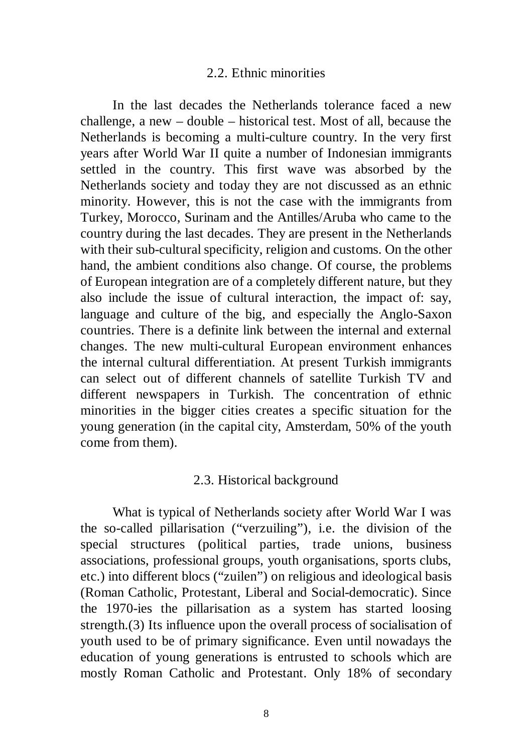#### 2.2. Ethnic minorities

In the last decades the Netherlands tolerance faced a new challenge, a new – double – historical test. Most of all, because the Netherlands is becoming a multi-culture country. In the very first years after World War II quite a number of Indonesian immigrants settled in the country. This first wave was absorbed by the Netherlands society and today they are not discussed as an ethnic minority. However, this is not the case with the immigrants from Turkey, Morocco, Surinam and the Antilles/Aruba who came to the country during the last decades. They are present in the Netherlands with their sub-cultural specificity, religion and customs. On the other hand, the ambient conditions also change. Of course, the problems of European integration are of a completely different nature, but they also include the issue of cultural interaction, the impact of: say, language and culture of the big, and especially the Anglo-Saxon countries. There is a definite link between the internal and external changes. The new multi-cultural European environment enhances the internal cultural differentiation. At present Turkish immigrants can select out of different channels of satellite Turkish TV and different newspapers in Turkish. The concentration of ethnic minorities in the bigger cities creates a specific situation for the young generation (in the capital city, Amsterdam, 50% of the youth come from them).

### 2.3. Historical background

What is typical of Netherlands society after World War I was the so-called pillarisation ("verzuiling"), i.e. the division of the special structures (political parties, trade unions, business associations, professional groups, youth organisations, sports clubs, etc.) into different blocs ("zuilen") on religious and ideological basis (Roman Catholic, Protestant, Liberal and Social-democratic). Since the 1970-ies the pillarisation as a system has started loosing strength.(3) Its influence upon the overall process of socialisation of youth used to be of primary significance. Even until nowadays the education of young generations is entrusted to schools which are mostly Roman Catholic and Protestant. Only 18% of secondary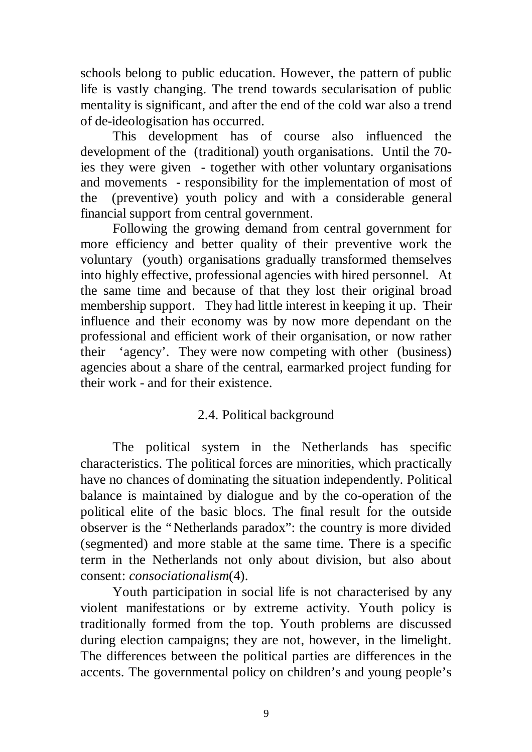schools belong to public education. However, the pattern of public life is vastly changing. The trend towards secularisation of public mentality is significant, and after the end of the cold war also a trend of de-ideologisation has occurred.

This development has of course also influenced the development of the (traditional) youth organisations. Until the 70 ies they were given - together with other voluntary organisations and movements - responsibility for the implementation of most of the (preventive) youth policy and with a considerable general financial support from central government.

Following the growing demand from central government for more efficiency and better quality of their preventive work the voluntary (youth) organisations gradually transformed themselves into highly effective, professional agencies with hired personnel. At the same time and because of that they lost their original broad membership support. They had little interest in keeping it up. Their influence and their economy was by now more dependant on the professional and efficient work of their organisation, or now rather their 'agency'. They were now competing with other (business) agencies about a share of the central, earmarked project funding for their work - and for their existence.

# 2.4. Political background

The political system in the Netherlands has specific characteristics. The political forces are minorities, which practically have no chances of dominating the situation independently. Political balance is maintained by dialogue and by the co-operation of the political elite of the basic blocs. The final result for the outside observer is the "Netherlands paradox": the country is more divided (segmented) and more stable at the same time. There is a specific term in the Netherlands not only about division, but also about consent: *consociationalism*(4).

Youth participation in social life is not characterised by any violent manifestations or by extreme activity. Youth policy is traditionally formed from the top. Youth problems are discussed during election campaigns; they are not, however, in the limelight. The differences between the political parties are differences in the accents. The governmental policy on children's and young people's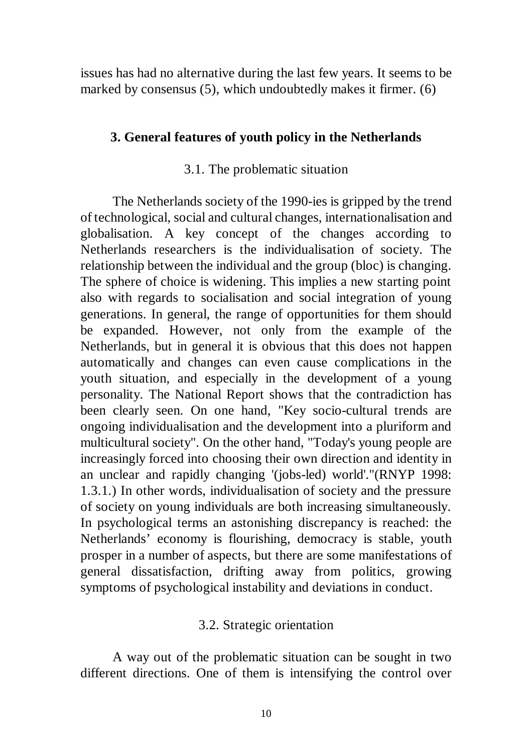issues has had no alternative during the last few years. It seems to be marked by consensus (5), which undoubtedly makes it firmer. (6)

## **3. General features of youth policy in the Netherlands**

## 3.1. The problematic situation

The Netherlands society of the 1990-ies is gripped by the trend of technological, social and cultural changes, internationalisation and globalisation. A key concept of the changes according to Netherlands researchers is the individualisation of society. The relationship between the individual and the group (bloc) is changing. The sphere of choice is widening. This implies a new starting point also with regards to socialisation and social integration of young generations. In general, the range of opportunities for them should be expanded. However, not only from the example of the Netherlands, but in general it is obvious that this does not happen automatically and changes can even cause complications in the youth situation, and especially in the development of a young personality. The National Report shows that the contradiction has been clearly seen. On one hand, "Key socio-cultural trends are ongoing individualisation and the development into a pluriform and multicultural society". On the other hand, "Today's young people are increasingly forced into choosing their own direction and identity in an unclear and rapidly changing '(jobs-led) world'."(RNYP 1998: 1.3.1.) In other words, individualisation of society and the pressure of society on young individuals are both increasing simultaneously. In psychological terms an astonishing discrepancy is reached: the Netherlands' economy is flourishing, democracy is stable, youth prosper in a number of aspects, but there are some manifestations of general dissatisfaction, drifting away from politics, growing symptoms of psychological instability and deviations in conduct.

## 3.2. Strategic orientation

A way out of the problematic situation can be sought in two different directions. One of them is intensifying the control over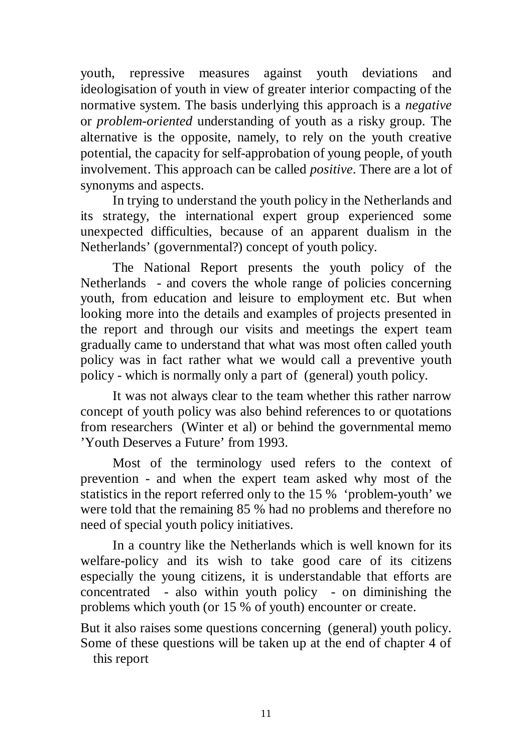youth, repressive measures against youth deviations and ideologisation of youth in view of greater interior compacting of the normative system. The basis underlying this approach is a *negative* or *problem-oriented* understanding of youth as a risky group. The alternative is the opposite, namely, to rely on the youth creative potential, the capacity for self-approbation of young people, of youth involvement. This approach can be called *positive*. There are a lot of synonyms and aspects.

In trying to understand the youth policy in the Netherlands and its strategy, the international expert group experienced some unexpected difficulties, because of an apparent dualism in the Netherlands' (governmental?) concept of youth policy.

The National Report presents the youth policy of the Netherlands - and covers the whole range of policies concerning youth, from education and leisure to employment etc. But when looking more into the details and examples of projects presented in the report and through our visits and meetings the expert team gradually came to understand that what was most often called youth policy was in fact rather what we would call a preventive youth policy - which is normally only a part of (general) youth policy.

It was not always clear to the team whether this rather narrow concept of youth policy was also behind references to or quotations from researchers (Winter et al) or behind the governmental memo 'Youth Deserves a Future' from 1993.

Most of the terminology used refers to the context of prevention - and when the expert team asked why most of the statistics in the report referred only to the 15 % 'problem-youth' we were told that the remaining 85 % had no problems and therefore no need of special youth policy initiatives.

In a country like the Netherlands which is well known for its welfare-policy and its wish to take good care of its citizens especially the young citizens, it is understandable that efforts are concentrated - also within youth policy - on diminishing the problems which youth (or 15 % of youth) encounter or create.

But it also raises some questions concerning (general) youth policy. Some of these questions will be taken up at the end of chapter 4 of this report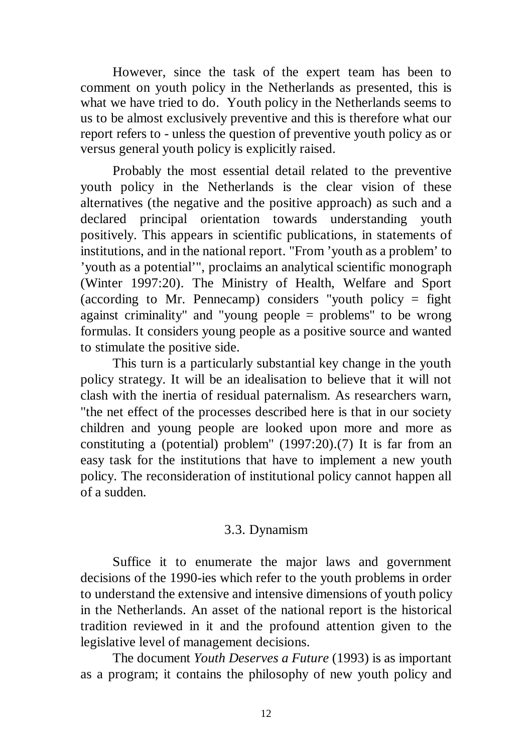However, since the task of the expert team has been to comment on youth policy in the Netherlands as presented, this is what we have tried to do. Youth policy in the Netherlands seems to us to be almost exclusively preventive and this is therefore what our report refers to - unless the question of preventive youth policy as or versus general youth policy is explicitly raised.

Probably the most essential detail related to the preventive youth policy in the Netherlands is the clear vision of these alternatives (the negative and the positive approach) as such and a declared principal orientation towards understanding youth positively. This appears in scientific publications, in statements of institutions, and in the national report. "From 'youth as a problem' to 'youth as a potential'", proclaims an analytical scientific monograph (Winter 1997:20). The Ministry of Health, Welfare and Sport (according to Mr. Pennecamp) considers "youth policy  $=$  fight against criminality" and "young people = problems" to be wrong formulas. It considers young people as a positive source and wanted to stimulate the positive side.

This turn is a particularly substantial key change in the youth policy strategy. It will be an idealisation to believe that it will not clash with the inertia of residual paternalism. As researchers warn, "the net effect of the processes described here is that in our society children and young people are looked upon more and more as constituting a (potential) problem" (1997:20).(7) It is far from an easy task for the institutions that have to implement a new youth policy. The reconsideration of institutional policy cannot happen all of a sudden.

## 3.3. Dynamism

Suffice it to enumerate the major laws and government decisions of the 1990-ies which refer to the youth problems in order to understand the extensive and intensive dimensions of youth policy in the Netherlands. An asset of the national report is the historical tradition reviewed in it and the profound attention given to the legislative level of management decisions.

The document *Youth Deserves a Future* (1993) is as important as a program; it contains the philosophy of new youth policy and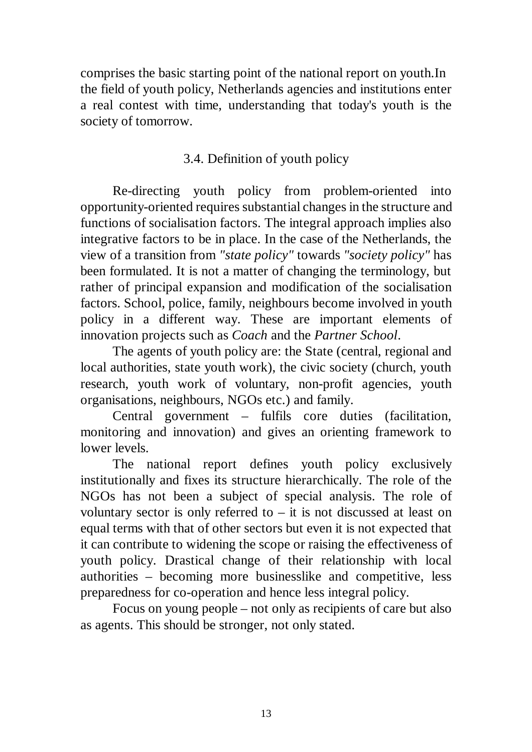comprises the basic starting point of the national report on youth.In the field of youth policy, Netherlands agencies and institutions enter a real contest with time, understanding that today's youth is the society of tomorrow.

# 3.4. Definition of youth policy

Re-directing youth policy from problem-oriented into opportunity-oriented requires substantial changes in the structure and functions of socialisation factors. The integral approach implies also integrative factors to be in place. In the case of the Netherlands, the view of a transition from *"state policy"* towards *"society policy"* has been formulated. It is not a matter of changing the terminology, but rather of principal expansion and modification of the socialisation factors. School, police, family, neighbours become involved in youth policy in a different way. These are important elements of innovation projects such as *Coach* and the *Partner School*.

The agents of youth policy are: the State (central, regional and local authorities, state youth work), the civic society (church, youth research, youth work of voluntary, non-profit agencies, youth organisations, neighbours, NGOs etc.) and family.

Central government – fulfils core duties (facilitation, monitoring and innovation) and gives an orienting framework to lower levels.

The national report defines youth policy exclusively institutionally and fixes its structure hierarchically. The role of the NGOs has not been a subject of special analysis. The role of voluntary sector is only referred to  $-$  it is not discussed at least on equal terms with that of other sectors but even it is not expected that it can contribute to widening the scope or raising the effectiveness of youth policy. Drastical change of their relationship with local authorities – becoming more businesslike and competitive, less preparedness for co-operation and hence less integral policy.

Focus on young people – not only as recipients of care but also as agents. This should be stronger, not only stated.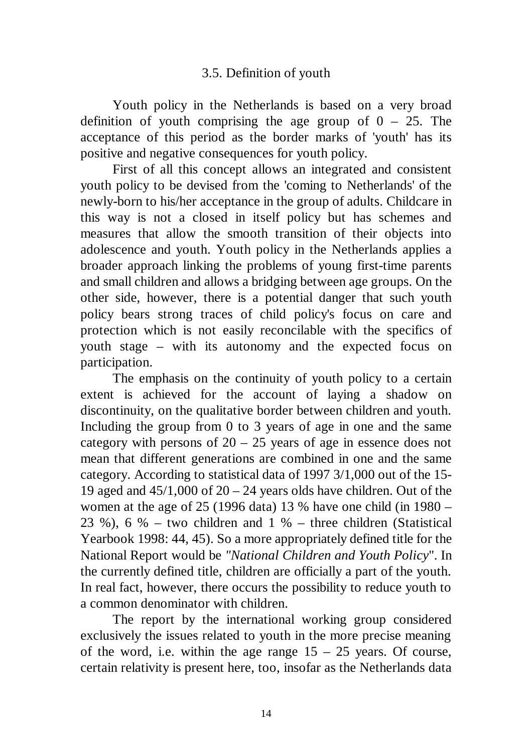# 3.5. Definition of youth

Youth policy in the Netherlands is based on a very broad definition of youth comprising the age group of  $0 - 25$ . The acceptance of this period as the border marks of 'youth' has its positive and negative consequences for youth policy.

First of all this concept allows an integrated and consistent youth policy to be devised from the 'coming to Netherlands' of the newly-born to his/her acceptance in the group of adults. Childcare in this way is not a closed in itself policy but has schemes and measures that allow the smooth transition of their objects into adolescence and youth. Youth policy in the Netherlands applies a broader approach linking the problems of young first-time parents and small children and allows a bridging between age groups. On the other side, however, there is a potential danger that such youth policy bears strong traces of child policy's focus on care and protection which is not easily reconcilable with the specifics of youth stage – with its autonomy and the expected focus on participation.

The emphasis on the continuity of youth policy to a certain extent is achieved for the account of laying a shadow on discontinuity, on the qualitative border between children and youth. Including the group from 0 to 3 years of age in one and the same category with persons of  $20 - 25$  years of age in essence does not mean that different generations are combined in one and the same category. According to statistical data of 1997 3/1,000 out of the 15- 19 aged and  $45/1,000$  of  $20 - 24$  years olds have children. Out of the women at the age of 25 (1996 data) 13 % have one child (in 1980 – 23 %), 6 % – two children and 1 % – three children (Statistical Yearbook 1998: 44, 45). So a more appropriately defined title for the National Report would be *"National Children and Youth Policy*". In the currently defined title, children are officially a part of the youth. In real fact, however, there occurs the possibility to reduce youth to a common denominator with children.

The report by the international working group considered exclusively the issues related to youth in the more precise meaning of the word, i.e. within the age range  $15 - 25$  years. Of course, certain relativity is present here, too, insofar as the Netherlands data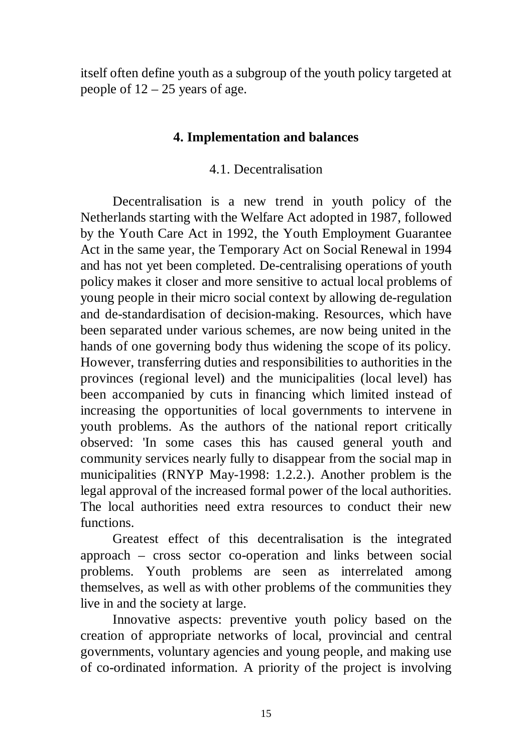itself often define youth as a subgroup of the youth policy targeted at people of  $12 - 25$  years of age.

## **4. Implementation and balances**

## 4.1. Decentralisation

Decentralisation is a new trend in youth policy of the Netherlands starting with the Welfare Act adopted in 1987, followed by the Youth Care Act in 1992, the Youth Employment Guarantee Act in the same year, the Temporary Act on Social Renewal in 1994 and has not yet been completed. De-centralising operations of youth policy makes it closer and more sensitive to actual local problems of young people in their micro social context by allowing de-regulation and de-standardisation of decision-making. Resources, which have been separated under various schemes, are now being united in the hands of one governing body thus widening the scope of its policy. However, transferring duties and responsibilities to authorities in the provinces (regional level) and the municipalities (local level) has been accompanied by cuts in financing which limited instead of increasing the opportunities of local governments to intervene in youth problems. As the authors of the national report critically observed: 'In some cases this has caused general youth and community services nearly fully to disappear from the social map in municipalities (RNYP May-1998: 1.2.2.). Another problem is the legal approval of the increased formal power of the local authorities. The local authorities need extra resources to conduct their new functions.

Greatest effect of this decentralisation is the integrated approach – cross sector co-operation and links between social problems. Youth problems are seen as interrelated among themselves, as well as with other problems of the communities they live in and the society at large.

Innovative aspects: preventive youth policy based on the creation of appropriate networks of local, provincial and central governments, voluntary agencies and young people, and making use of co-ordinated information. A priority of the project is involving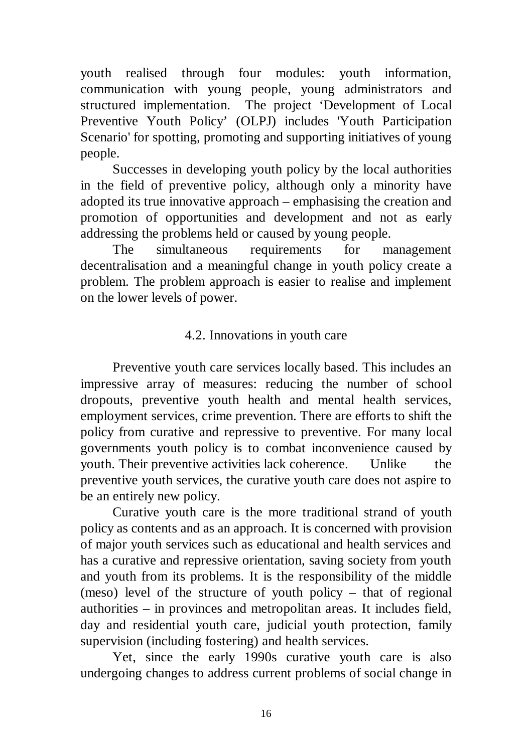youth realised through four modules: youth information, communication with young people, young administrators and structured implementation. The project 'Development of Local Preventive Youth Policy' (OLPJ) includes 'Youth Participation Scenario' for spotting, promoting and supporting initiatives of young people.

Successes in developing youth policy by the local authorities in the field of preventive policy, although only a minority have adopted its true innovative approach – emphasising the creation and promotion of opportunities and development and not as early addressing the problems held or caused by young people.

The simultaneous requirements for management decentralisation and a meaningful change in youth policy create a problem. The problem approach is easier to realise and implement on the lower levels of power.

# 4.2. Innovations in youth care

Preventive youth care services locally based. This includes an impressive array of measures: reducing the number of school dropouts, preventive youth health and mental health services, employment services, crime prevention. There are efforts to shift the policy from curative and repressive to preventive. For many local governments youth policy is to combat inconvenience caused by youth. Their preventive activities lack coherence. Unlike the preventive youth services, the curative youth care does not aspire to be an entirely new policy.

Curative youth care is the more traditional strand of youth policy as contents and as an approach. It is concerned with provision of major youth services such as educational and health services and has a curative and repressive orientation, saving society from youth and youth from its problems. It is the responsibility of the middle (meso) level of the structure of youth policy – that of regional authorities – in provinces and metropolitan areas. It includes field, day and residential youth care, judicial youth protection, family supervision (including fostering) and health services.

Yet, since the early 1990s curative youth care is also undergoing changes to address current problems of social change in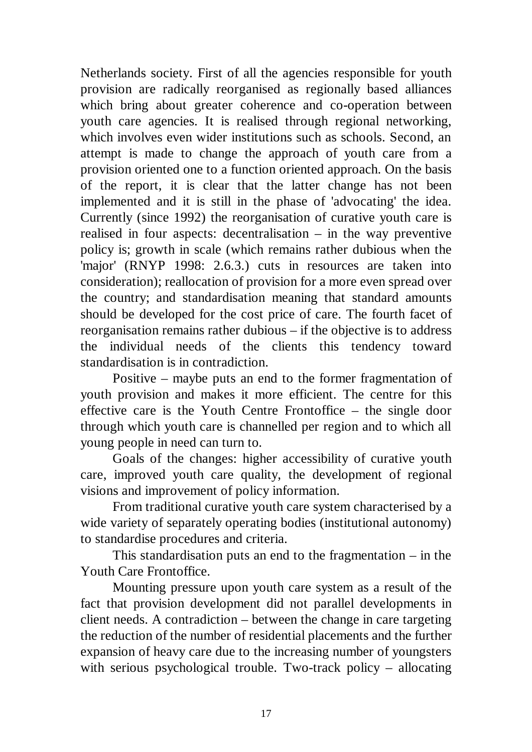Netherlands society. First of all the agencies responsible for youth provision are radically reorganised as regionally based alliances which bring about greater coherence and co-operation between youth care agencies. It is realised through regional networking, which involves even wider institutions such as schools. Second, an attempt is made to change the approach of youth care from a provision oriented one to a function oriented approach. On the basis of the report, it is clear that the latter change has not been implemented and it is still in the phase of 'advocating' the idea. Currently (since 1992) the reorganisation of curative youth care is realised in four aspects: decentralisation – in the way preventive policy is; growth in scale (which remains rather dubious when the 'major' (RNYP 1998: 2.6.3.) cuts in resources are taken into consideration); reallocation of provision for a more even spread over the country; and standardisation meaning that standard amounts should be developed for the cost price of care. The fourth facet of reorganisation remains rather dubious – if the objective is to address the individual needs of the clients this tendency toward standardisation is in contradiction.

Positive – maybe puts an end to the former fragmentation of youth provision and makes it more efficient. The centre for this effective care is the Youth Centre Frontoffice – the single door through which youth care is channelled per region and to which all young people in need can turn to.

Goals of the changes: higher accessibility of curative youth care, improved youth care quality, the development of regional visions and improvement of policy information.

From traditional curative youth care system characterised by a wide variety of separately operating bodies (institutional autonomy) to standardise procedures and criteria.

This standardisation puts an end to the fragmentation  $-$  in the Youth Care Frontoffice.

Mounting pressure upon youth care system as a result of the fact that provision development did not parallel developments in client needs. A contradiction – between the change in care targeting the reduction of the number of residential placements and the further expansion of heavy care due to the increasing number of youngsters with serious psychological trouble. Two-track policy – allocating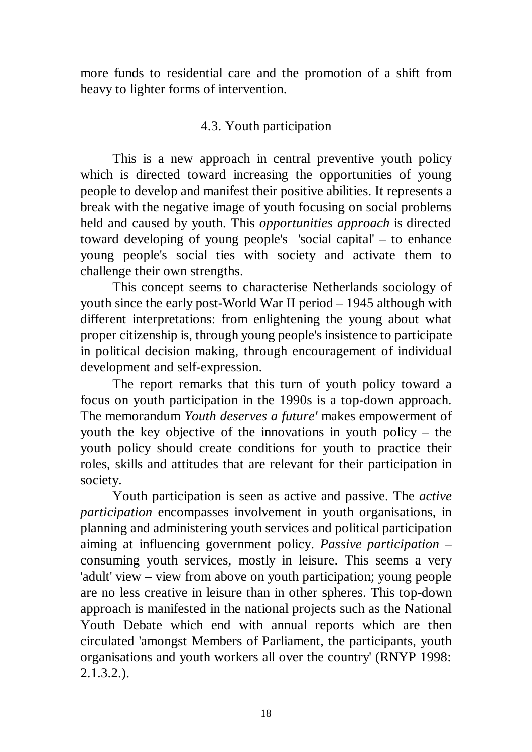more funds to residential care and the promotion of a shift from heavy to lighter forms of intervention.

## 4.3. Youth participation

This is a new approach in central preventive youth policy which is directed toward increasing the opportunities of young people to develop and manifest their positive abilities. It represents a break with the negative image of youth focusing on social problems held and caused by youth. This *opportunities approach* is directed toward developing of young people's 'social capital' – to enhance young people's social ties with society and activate them to challenge their own strengths.

This concept seems to characterise Netherlands sociology of youth since the early post-World War II period – 1945 although with different interpretations: from enlightening the young about what proper citizenship is, through young people's insistence to participate in political decision making, through encouragement of individual development and self-expression.

The report remarks that this turn of youth policy toward a focus on youth participation in the 1990s is a top-down approach. The memorandum *Youth deserves a future'* makes empowerment of youth the key objective of the innovations in youth policy – the youth policy should create conditions for youth to practice their roles, skills and attitudes that are relevant for their participation in society.

Youth participation is seen as active and passive. The *active participation* encompasses involvement in youth organisations, in planning and administering youth services and political participation aiming at influencing government policy. *Passive participation* – consuming youth services, mostly in leisure. This seems a very 'adult' view – view from above on youth participation; young people are no less creative in leisure than in other spheres. This top-down approach is manifested in the national projects such as the National Youth Debate which end with annual reports which are then circulated 'amongst Members of Parliament, the participants, youth organisations and youth workers all over the country' (RNYP 1998: 2.1.3.2.).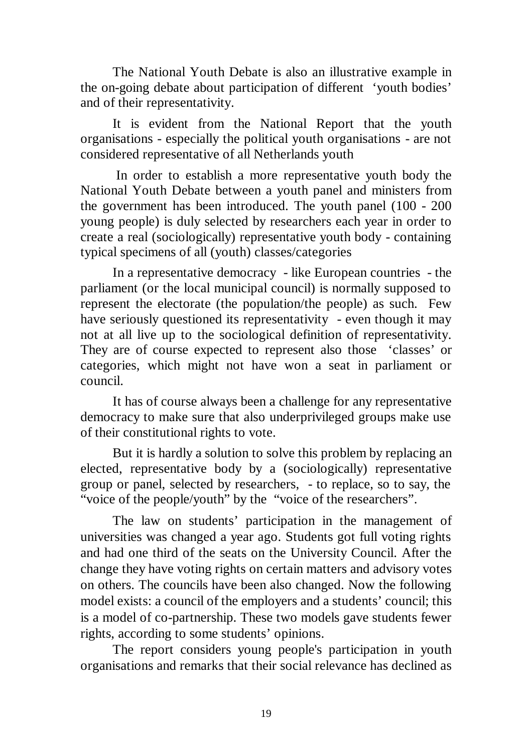The National Youth Debate is also an illustrative example in the on-going debate about participation of different 'youth bodies' and of their representativity.

It is evident from the National Report that the youth organisations - especially the political youth organisations - are not considered representative of all Netherlands youth

 In order to establish a more representative youth body the National Youth Debate between a youth panel and ministers from the government has been introduced. The youth panel (100 - 200 young people) is duly selected by researchers each year in order to create a real (sociologically) representative youth body - containing typical specimens of all (youth) classes/categories

In a representative democracy - like European countries - the parliament (or the local municipal council) is normally supposed to represent the electorate (the population/the people) as such. Few have seriously questioned its representativity - even though it may not at all live up to the sociological definition of representativity. They are of course expected to represent also those 'classes' or categories, which might not have won a seat in parliament or council.

It has of course always been a challenge for any representative democracy to make sure that also underprivileged groups make use of their constitutional rights to vote.

But it is hardly a solution to solve this problem by replacing an elected, representative body by a (sociologically) representative group or panel, selected by researchers, - to replace, so to say, the "voice of the people/youth" by the "voice of the researchers".

The law on students' participation in the management of universities was changed a year ago. Students got full voting rights and had one third of the seats on the University Council. After the change they have voting rights on certain matters and advisory votes on others. The councils have been also changed. Now the following model exists: a council of the employers and a students' council; this is a model of co-partnership. These two models gave students fewer rights, according to some students' opinions.

The report considers young people's participation in youth organisations and remarks that their social relevance has declined as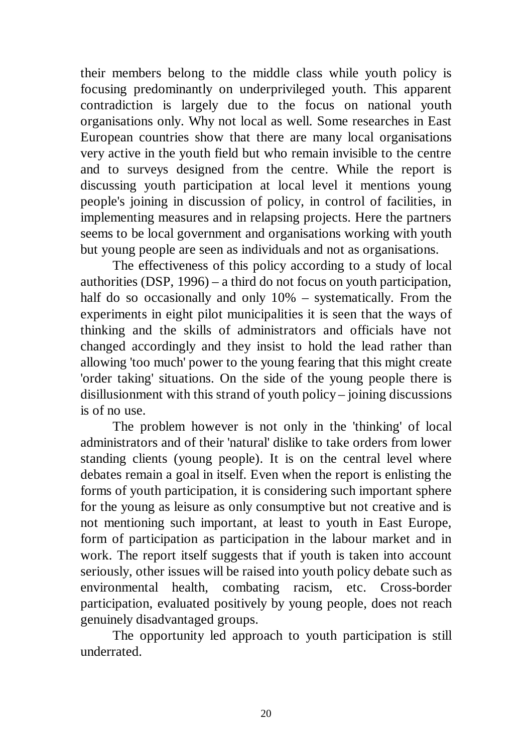their members belong to the middle class while youth policy is focusing predominantly on underprivileged youth. This apparent contradiction is largely due to the focus on national youth organisations only. Why not local as well. Some researches in East European countries show that there are many local organisations very active in the youth field but who remain invisible to the centre and to surveys designed from the centre. While the report is discussing youth participation at local level it mentions young people's joining in discussion of policy, in control of facilities, in implementing measures and in relapsing projects. Here the partners seems to be local government and organisations working with youth but young people are seen as individuals and not as organisations.

The effectiveness of this policy according to a study of local authorities (DSP, 1996) – a third do not focus on youth participation, half do so occasionally and only 10% – systematically. From the experiments in eight pilot municipalities it is seen that the ways of thinking and the skills of administrators and officials have not changed accordingly and they insist to hold the lead rather than allowing 'too much' power to the young fearing that this might create 'order taking' situations. On the side of the young people there is disillusionment with this strand of youth policy – joining discussions is of no use.

The problem however is not only in the 'thinking' of local administrators and of their 'natural' dislike to take orders from lower standing clients (young people). It is on the central level where debates remain a goal in itself. Even when the report is enlisting the forms of youth participation, it is considering such important sphere for the young as leisure as only consumptive but not creative and is not mentioning such important, at least to youth in East Europe, form of participation as participation in the labour market and in work. The report itself suggests that if youth is taken into account seriously, other issues will be raised into youth policy debate such as environmental health, combating racism, etc. Cross-border participation, evaluated positively by young people, does not reach genuinely disadvantaged groups.

The opportunity led approach to youth participation is still underrated.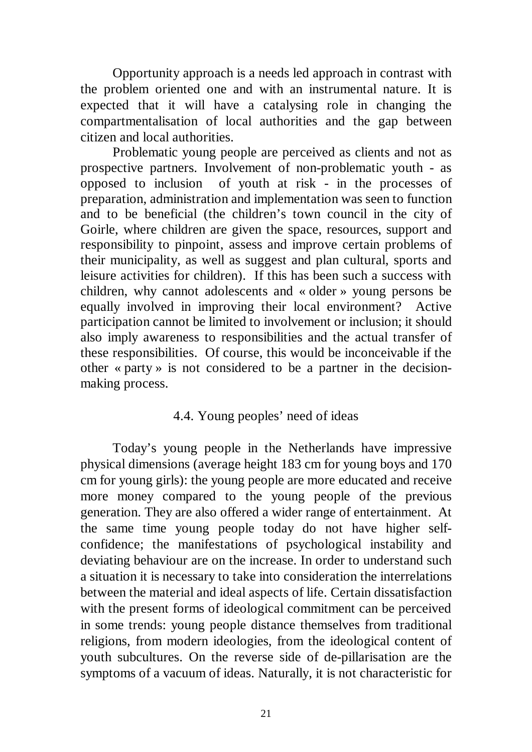Opportunity approach is a needs led approach in contrast with the problem oriented one and with an instrumental nature. It is expected that it will have a catalysing role in changing the compartmentalisation of local authorities and the gap between citizen and local authorities.

Problematic young people are perceived as clients and not as prospective partners. Involvement of non-problematic youth - as opposed to inclusion of youth at risk - in the processes of preparation, administration and implementation was seen to function and to be beneficial (the children's town council in the city of Goirle, where children are given the space, resources, support and responsibility to pinpoint, assess and improve certain problems of their municipality, as well as suggest and plan cultural, sports and leisure activities for children). If this has been such a success with children, why cannot adolescents and « older » young persons be equally involved in improving their local environment? Active participation cannot be limited to involvement or inclusion; it should also imply awareness to responsibilities and the actual transfer of these responsibilities. Of course, this would be inconceivable if the other « party » is not considered to be a partner in the decisionmaking process.

## 4.4. Young peoples' need of ideas

Today's young people in the Netherlands have impressive physical dimensions (average height 183 cm for young boys and 170 cm for young girls): the young people are more educated and receive more money compared to the young people of the previous generation. They are also offered a wider range of entertainment. At the same time young people today do not have higher selfconfidence; the manifestations of psychological instability and deviating behaviour are on the increase. In order to understand such a situation it is necessary to take into consideration the interrelations between the material and ideal aspects of life. Certain dissatisfaction with the present forms of ideological commitment can be perceived in some trends: young people distance themselves from traditional religions, from modern ideologies, from the ideological content of youth subcultures. On the reverse side of de-pillarisation are the symptoms of a vacuum of ideas. Naturally, it is not characteristic for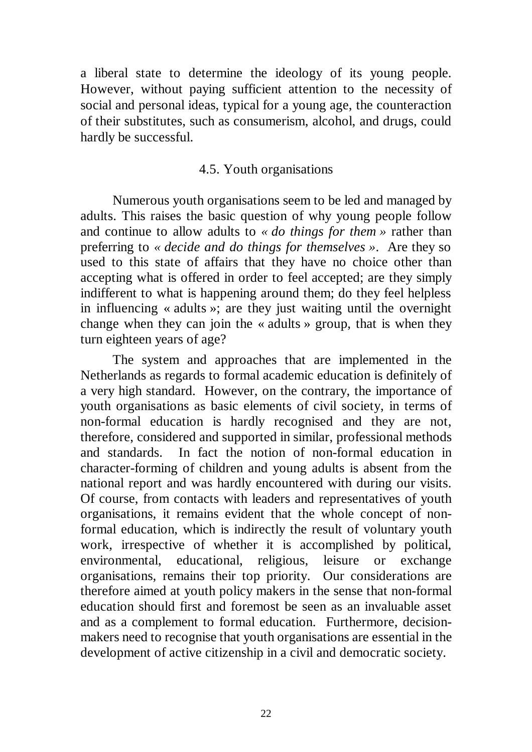a liberal state to determine the ideology of its young people. However, without paying sufficient attention to the necessity of social and personal ideas, typical for a young age, the counteraction of their substitutes, such as consumerism, alcohol, and drugs, could hardly be successful.

### 4.5. Youth organisations

Numerous youth organisations seem to be led and managed by adults. This raises the basic question of why young people follow and continue to allow adults to *« do things for them »* rather than preferring to *« decide and do things for themselves »*. Are they so used to this state of affairs that they have no choice other than accepting what is offered in order to feel accepted; are they simply indifferent to what is happening around them; do they feel helpless in influencing « adults »; are they just waiting until the overnight change when they can join the « adults » group, that is when they turn eighteen years of age?

The system and approaches that are implemented in the Netherlands as regards to formal academic education is definitely of a very high standard. However, on the contrary, the importance of youth organisations as basic elements of civil society, in terms of non-formal education is hardly recognised and they are not, therefore, considered and supported in similar, professional methods and standards. In fact the notion of non-formal education in character-forming of children and young adults is absent from the national report and was hardly encountered with during our visits. Of course, from contacts with leaders and representatives of youth organisations, it remains evident that the whole concept of nonformal education, which is indirectly the result of voluntary youth work, irrespective of whether it is accomplished by political, environmental, educational, religious, leisure or exchange organisations, remains their top priority. Our considerations are therefore aimed at youth policy makers in the sense that non-formal education should first and foremost be seen as an invaluable asset and as a complement to formal education. Furthermore, decisionmakers need to recognise that youth organisations are essential in the development of active citizenship in a civil and democratic society.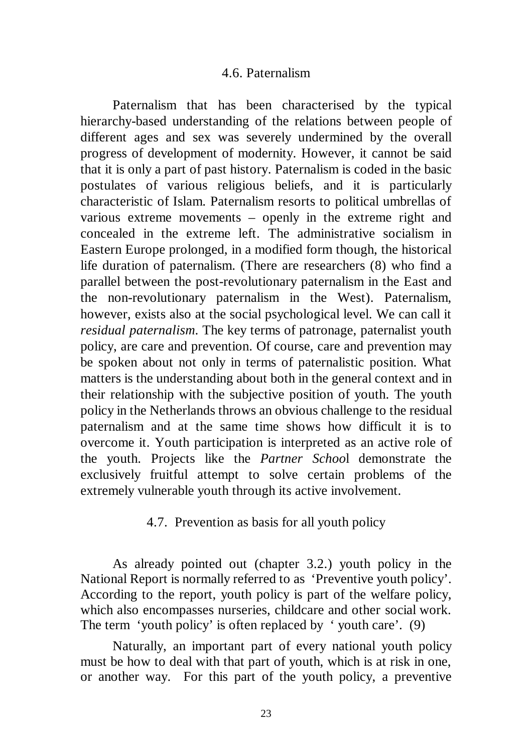#### 4.6. Paternalism

Paternalism that has been characterised by the typical hierarchy-based understanding of the relations between people of different ages and sex was severely undermined by the overall progress of development of modernity. However, it cannot be said that it is only a part of past history. Paternalism is coded in the basic postulates of various religious beliefs, and it is particularly characteristic of Islam. Paternalism resorts to political umbrellas of various extreme movements – openly in the extreme right and concealed in the extreme left. The administrative socialism in Eastern Europe prolonged, in a modified form though, the historical life duration of paternalism. (There are researchers (8) who find a parallel between the post-revolutionary paternalism in the East and the non-revolutionary paternalism in the West). Paternalism, however, exists also at the social psychological level. We can call it *residual paternalism*. The key terms of patronage, paternalist youth policy, are care and prevention. Of course, care and prevention may be spoken about not only in terms of paternalistic position. What matters is the understanding about both in the general context and in their relationship with the subjective position of youth. The youth policy in the Netherlands throws an obvious challenge to the residual paternalism and at the same time shows how difficult it is to overcome it. Youth participation is interpreted as an active role of the youth. Projects like the *Partner Schoo*l demonstrate the exclusively fruitful attempt to solve certain problems of the extremely vulnerable youth through its active involvement.

### 4.7. Prevention as basis for all youth policy

As already pointed out (chapter 3.2.) youth policy in the National Report is normally referred to as 'Preventive youth policy'. According to the report, youth policy is part of the welfare policy, which also encompasses nurseries, childcare and other social work. The term 'youth policy' is often replaced by 'youth care'. (9)

Naturally, an important part of every national youth policy must be how to deal with that part of youth, which is at risk in one, or another way. For this part of the youth policy, a preventive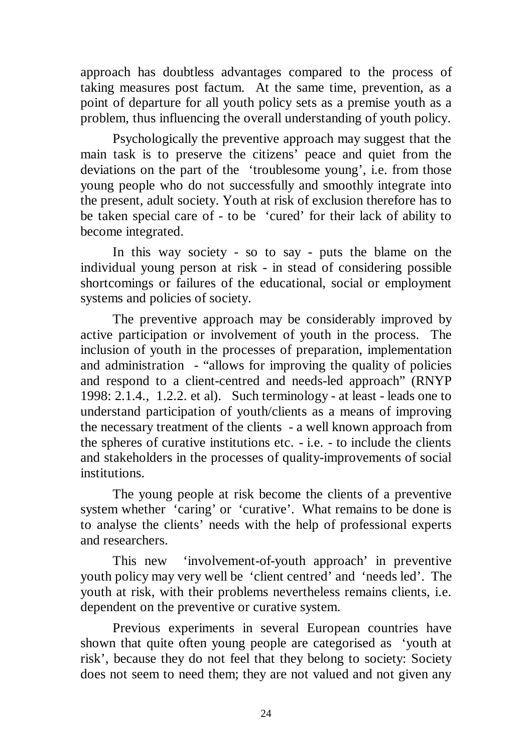approach has doubtless advantages compared to the process of taking measures post factum. At the same time, prevention, as a point of departure for all youth policy sets as a premise youth as a problem, thus influencing the overall understanding of youth policy.

Psychologically the preventive approach may suggest that the main task is to preserve the citizens' peace and quiet from the deviations on the part of the 'troublesome young', i.e. from those young people who do not successfully and smoothly integrate into the present, adult society. Youth at risk of exclusion therefore has to be taken special care of - to be 'cured' for their lack of ability to become integrated.

In this way society - so to say - puts the blame on the individual young person at risk - in stead of considering possible shortcomings or failures of the educational, social or employment systems and policies of society.

The preventive approach may be considerably improved by active participation or involvement of youth in the process. The inclusion of youth in the processes of preparation, implementation and administration - "allows for improving the quality of policies and respond to a client-centred and needs-led approach" (RNYP 1998: 2.1.4., 1.2.2. et al). Such terminology - at least - leads one to understand participation of youth/clients as a means of improving the necessary treatment of the clients - a well known approach from the spheres of curative institutions etc. - i.e. - to include the clients and stakeholders in the processes of quality-improvements of social institutions.

The young people at risk become the clients of a preventive system whether 'caring' or 'curative'. What remains to be done is to analyse the clients' needs with the help of professional experts and researchers.

This new 'involvement-of-youth approach' in preventive youth policy may very well be 'client centred' and 'needs led'. The youth at risk, with their problems nevertheless remains clients, i.e. dependent on the preventive or curative system.

Previous experiments in several European countries have shown that quite often young people are categorised as 'youth at risk', because they do not feel that they belong to society: Society does not seem to need them; they are not valued and not given any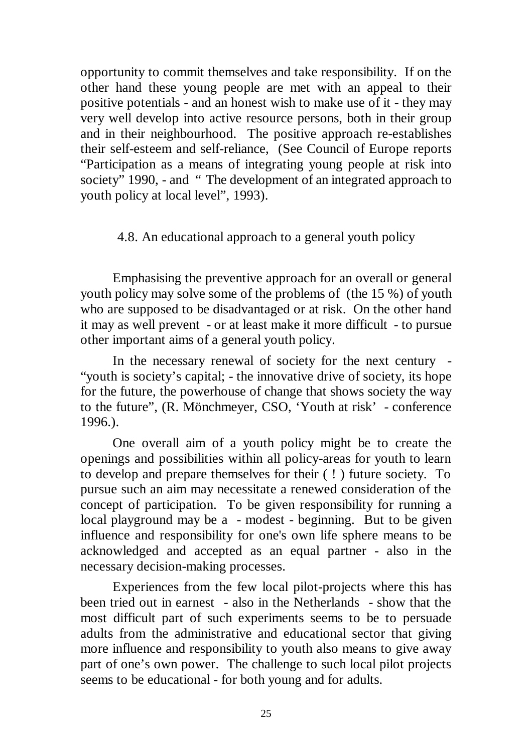opportunity to commit themselves and take responsibility. If on the other hand these young people are met with an appeal to their positive potentials - and an honest wish to make use of it - they may very well develop into active resource persons, both in their group and in their neighbourhood. The positive approach re-establishes their self-esteem and self-reliance, (See Council of Europe reports "Participation as a means of integrating young people at risk into society<sup>7</sup> 1990, - and " The development of an integrated approach to youth policy at local level", 1993).

### 4.8. An educational approach to a general youth policy

Emphasising the preventive approach for an overall or general youth policy may solve some of the problems of (the 15 %) of youth who are supposed to be disadvantaged or at risk. On the other hand it may as well prevent - or at least make it more difficult - to pursue other important aims of a general youth policy.

In the necessary renewal of society for the next century - "youth is society's capital; - the innovative drive of society, its hope for the future, the powerhouse of change that shows society the way to the future", (R. Mönchmeyer, CSO, 'Youth at risk' - conference 1996.).

One overall aim of a youth policy might be to create the openings and possibilities within all policy-areas for youth to learn to develop and prepare themselves for their ( ! ) future society. To pursue such an aim may necessitate a renewed consideration of the concept of participation. To be given responsibility for running a local playground may be a - modest - beginning. But to be given influence and responsibility for one's own life sphere means to be acknowledged and accepted as an equal partner - also in the necessary decision-making processes.

Experiences from the few local pilot-projects where this has been tried out in earnest - also in the Netherlands - show that the most difficult part of such experiments seems to be to persuade adults from the administrative and educational sector that giving more influence and responsibility to youth also means to give away part of one's own power. The challenge to such local pilot projects seems to be educational - for both young and for adults.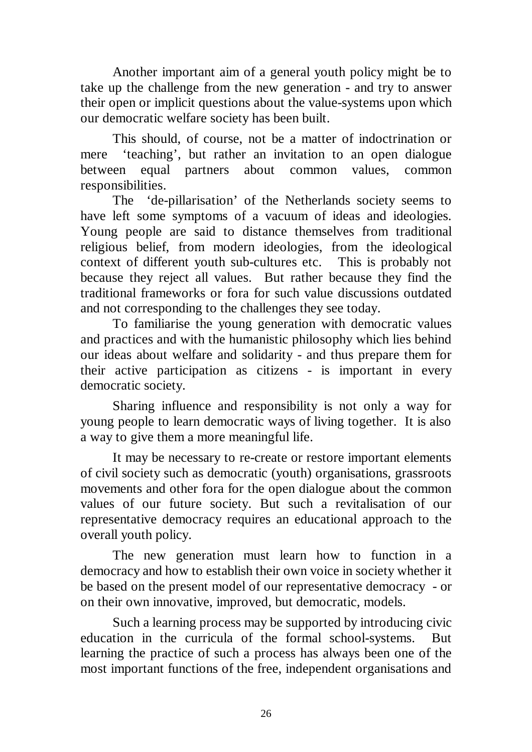Another important aim of a general youth policy might be to take up the challenge from the new generation - and try to answer their open or implicit questions about the value-systems upon which our democratic welfare society has been built.

This should, of course, not be a matter of indoctrination or mere 'teaching', but rather an invitation to an open dialogue between equal partners about common values, common responsibilities.

The 'de-pillarisation' of the Netherlands society seems to have left some symptoms of a vacuum of ideas and ideologies. Young people are said to distance themselves from traditional religious belief, from modern ideologies, from the ideological context of different youth sub-cultures etc. This is probably not because they reject all values. But rather because they find the traditional frameworks or fora for such value discussions outdated and not corresponding to the challenges they see today.

To familiarise the young generation with democratic values and practices and with the humanistic philosophy which lies behind our ideas about welfare and solidarity - and thus prepare them for their active participation as citizens - is important in every democratic society.

Sharing influence and responsibility is not only a way for young people to learn democratic ways of living together. It is also a way to give them a more meaningful life.

It may be necessary to re-create or restore important elements of civil society such as democratic (youth) organisations, grassroots movements and other fora for the open dialogue about the common values of our future society. But such a revitalisation of our representative democracy requires an educational approach to the overall youth policy.

The new generation must learn how to function in a democracy and how to establish their own voice in society whether it be based on the present model of our representative democracy - or on their own innovative, improved, but democratic, models.

Such a learning process may be supported by introducing civic education in the curricula of the formal school-systems. But learning the practice of such a process has always been one of the most important functions of the free, independent organisations and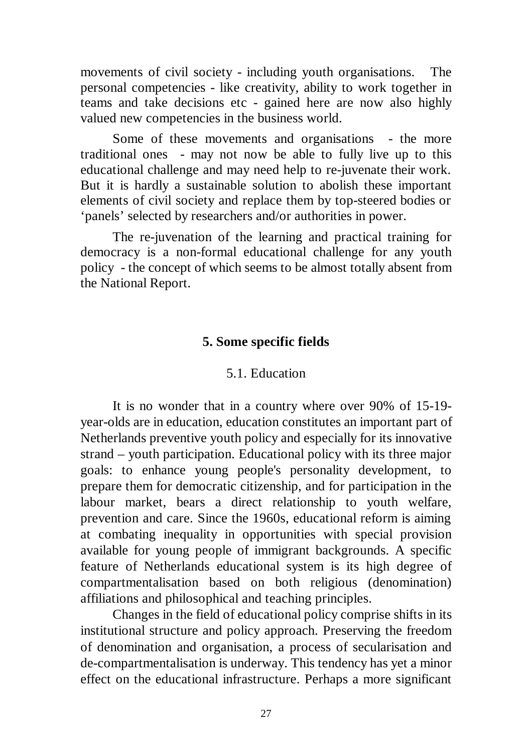movements of civil society - including youth organisations. The personal competencies - like creativity, ability to work together in teams and take decisions etc - gained here are now also highly valued new competencies in the business world.

Some of these movements and organisations - the more traditional ones - may not now be able to fully live up to this educational challenge and may need help to re-juvenate their work. But it is hardly a sustainable solution to abolish these important elements of civil society and replace them by top-steered bodies or 'panels' selected by researchers and/or authorities in power.

The re-juvenation of the learning and practical training for democracy is a non-formal educational challenge for any youth policy - the concept of which seems to be almost totally absent from the National Report.

## **5. Some specific fields**

## 5.1. Education

It is no wonder that in a country where over 90% of 15-19 year-olds are in education, education constitutes an important part of Netherlands preventive youth policy and especially for its innovative strand – youth participation. Educational policy with its three major goals: to enhance young people's personality development, to prepare them for democratic citizenship, and for participation in the labour market, bears a direct relationship to youth welfare, prevention and care. Since the 1960s, educational reform is aiming at combating inequality in opportunities with special provision available for young people of immigrant backgrounds. A specific feature of Netherlands educational system is its high degree of compartmentalisation based on both religious (denomination) affiliations and philosophical and teaching principles.

Changes in the field of educational policy comprise shifts in its institutional structure and policy approach. Preserving the freedom of denomination and organisation, a process of secularisation and de-compartmentalisation is underway. This tendency has yet a minor effect on the educational infrastructure. Perhaps a more significant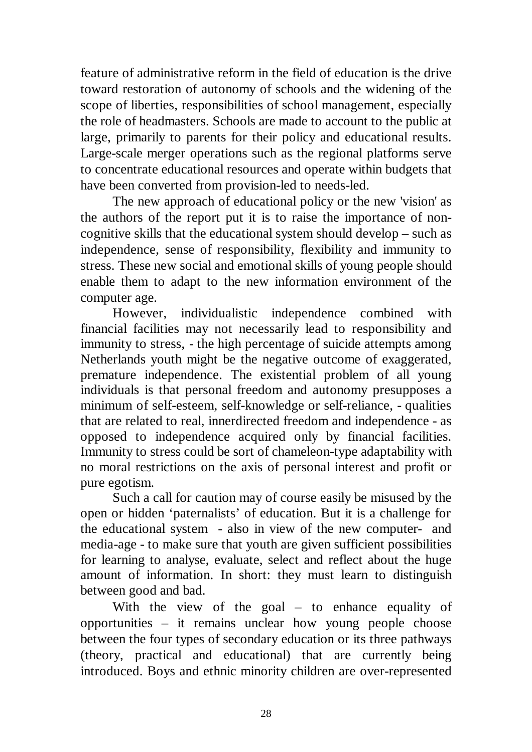feature of administrative reform in the field of education is the drive toward restoration of autonomy of schools and the widening of the scope of liberties, responsibilities of school management, especially the role of headmasters. Schools are made to account to the public at large, primarily to parents for their policy and educational results. Large-scale merger operations such as the regional platforms serve to concentrate educational resources and operate within budgets that have been converted from provision-led to needs-led.

The new approach of educational policy or the new 'vision' as the authors of the report put it is to raise the importance of noncognitive skills that the educational system should develop – such as independence, sense of responsibility, flexibility and immunity to stress. These new social and emotional skills of young people should enable them to adapt to the new information environment of the computer age.

However, individualistic independence combined with financial facilities may not necessarily lead to responsibility and immunity to stress, - the high percentage of suicide attempts among Netherlands youth might be the negative outcome of exaggerated, premature independence. The existential problem of all young individuals is that personal freedom and autonomy presupposes a minimum of self-esteem, self-knowledge or self-reliance, - qualities that are related to real, innerdirected freedom and independence - as opposed to independence acquired only by financial facilities. Immunity to stress could be sort of chameleon-type adaptability with no moral restrictions on the axis of personal interest and profit or pure egotism.

Such a call for caution may of course easily be misused by the open or hidden 'paternalists' of education. But it is a challenge for the educational system - also in view of the new computer- and media-age - to make sure that youth are given sufficient possibilities for learning to analyse, evaluate, select and reflect about the huge amount of information. In short: they must learn to distinguish between good and bad.

With the view of the goal – to enhance equality of opportunities – it remains unclear how young people choose between the four types of secondary education or its three pathways (theory, practical and educational) that are currently being introduced. Boys and ethnic minority children are over-represented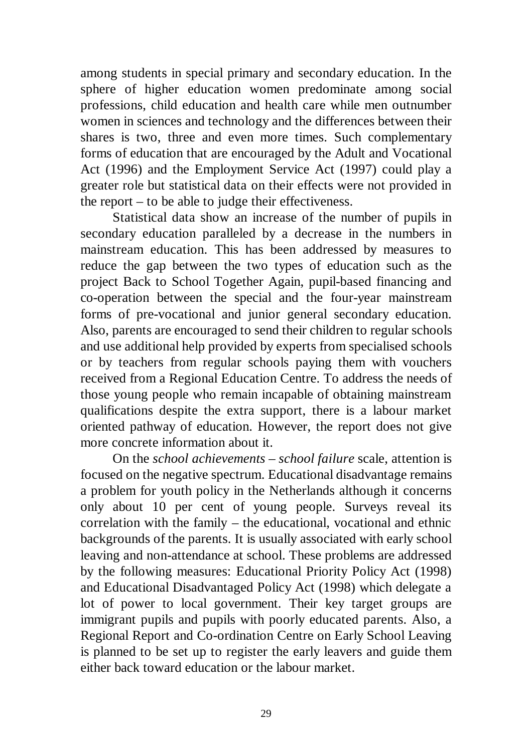among students in special primary and secondary education. In the sphere of higher education women predominate among social professions, child education and health care while men outnumber women in sciences and technology and the differences between their shares is two, three and even more times. Such complementary forms of education that are encouraged by the Adult and Vocational Act (1996) and the Employment Service Act (1997) could play a greater role but statistical data on their effects were not provided in the report – to be able to judge their effectiveness.

Statistical data show an increase of the number of pupils in secondary education paralleled by a decrease in the numbers in mainstream education. This has been addressed by measures to reduce the gap between the two types of education such as the project Back to School Together Again, pupil-based financing and co-operation between the special and the four-year mainstream forms of pre-vocational and junior general secondary education. Also, parents are encouraged to send their children to regular schools and use additional help provided by experts from specialised schools or by teachers from regular schools paying them with vouchers received from a Regional Education Centre. To address the needs of those young people who remain incapable of obtaining mainstream qualifications despite the extra support, there is a labour market oriented pathway of education. However, the report does not give more concrete information about it.

On the *school achievements – school failure* scale, attention is focused on the negative spectrum. Educational disadvantage remains a problem for youth policy in the Netherlands although it concerns only about 10 per cent of young people. Surveys reveal its correlation with the family – the educational, vocational and ethnic backgrounds of the parents. It is usually associated with early school leaving and non-attendance at school. These problems are addressed by the following measures: Educational Priority Policy Act (1998) and Educational Disadvantaged Policy Act (1998) which delegate a lot of power to local government. Their key target groups are immigrant pupils and pupils with poorly educated parents. Also, a Regional Report and Co-ordination Centre on Early School Leaving is planned to be set up to register the early leavers and guide them either back toward education or the labour market.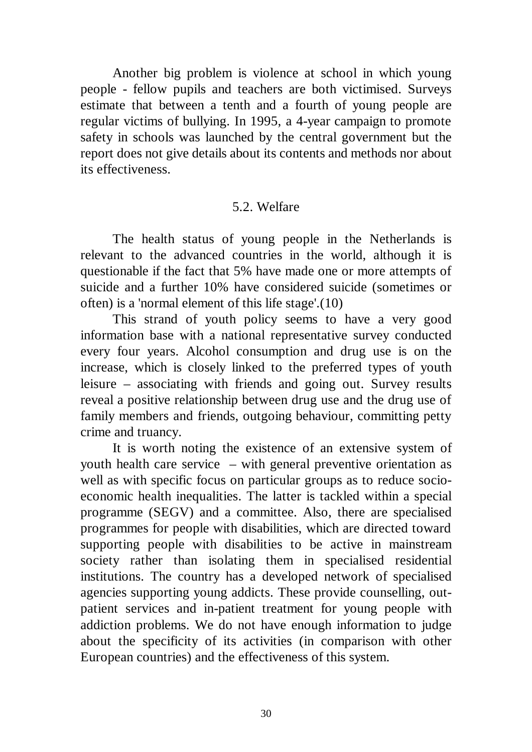Another big problem is violence at school in which young people - fellow pupils and teachers are both victimised. Surveys estimate that between a tenth and a fourth of young people are regular victims of bullying. In 1995, a 4-year campaign to promote safety in schools was launched by the central government but the report does not give details about its contents and methods nor about its effectiveness.

### 5.2. Welfare

The health status of young people in the Netherlands is relevant to the advanced countries in the world, although it is questionable if the fact that 5% have made one or more attempts of suicide and a further 10% have considered suicide (sometimes or often) is a 'normal element of this life stage'.(10)

This strand of youth policy seems to have a very good information base with a national representative survey conducted every four years. Alcohol consumption and drug use is on the increase, which is closely linked to the preferred types of youth leisure – associating with friends and going out. Survey results reveal a positive relationship between drug use and the drug use of family members and friends, outgoing behaviour, committing petty crime and truancy.

It is worth noting the existence of an extensive system of youth health care service – with general preventive orientation as well as with specific focus on particular groups as to reduce socioeconomic health inequalities. The latter is tackled within a special programme (SEGV) and a committee. Also, there are specialised programmes for people with disabilities, which are directed toward supporting people with disabilities to be active in mainstream society rather than isolating them in specialised residential institutions. The country has a developed network of specialised agencies supporting young addicts. These provide counselling, outpatient services and in-patient treatment for young people with addiction problems. We do not have enough information to judge about the specificity of its activities (in comparison with other European countries) and the effectiveness of this system.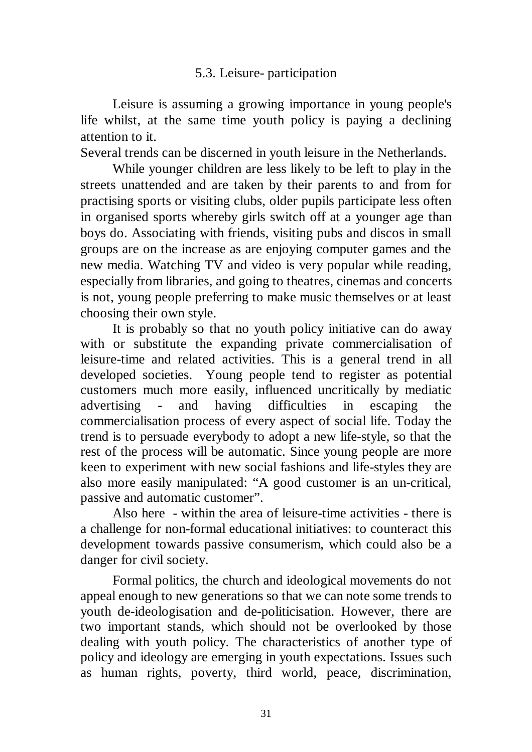## 5.3. Leisure- participation

Leisure is assuming a growing importance in young people's life whilst, at the same time youth policy is paying a declining attention to it.

Several trends can be discerned in youth leisure in the Netherlands.

While younger children are less likely to be left to play in the streets unattended and are taken by their parents to and from for practising sports or visiting clubs, older pupils participate less often in organised sports whereby girls switch off at a younger age than boys do. Associating with friends, visiting pubs and discos in small groups are on the increase as are enjoying computer games and the new media. Watching TV and video is very popular while reading, especially from libraries, and going to theatres, cinemas and concerts is not, young people preferring to make music themselves or at least choosing their own style.

It is probably so that no youth policy initiative can do away with or substitute the expanding private commercialisation of leisure-time and related activities. This is a general trend in all developed societies. Young people tend to register as potential customers much more easily, influenced uncritically by mediatic advertising - and having difficulties in escaping the commercialisation process of every aspect of social life. Today the trend is to persuade everybody to adopt a new life-style, so that the rest of the process will be automatic. Since young people are more keen to experiment with new social fashions and life-styles they are also more easily manipulated: "A good customer is an un-critical, passive and automatic customer".

Also here - within the area of leisure-time activities - there is a challenge for non-formal educational initiatives: to counteract this development towards passive consumerism, which could also be a danger for civil society.

Formal politics, the church and ideological movements do not appeal enough to new generations so that we can note some trends to youth de-ideologisation and de-politicisation. However, there are two important stands, which should not be overlooked by those dealing with youth policy. The characteristics of another type of policy and ideology are emerging in youth expectations. Issues such as human rights, poverty, third world, peace, discrimination,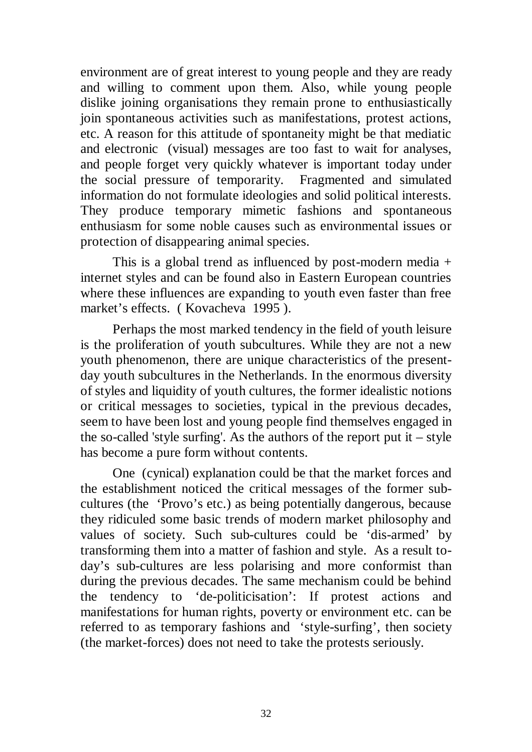environment are of great interest to young people and they are ready and willing to comment upon them. Also, while young people dislike joining organisations they remain prone to enthusiastically join spontaneous activities such as manifestations, protest actions, etc. A reason for this attitude of spontaneity might be that mediatic and electronic (visual) messages are too fast to wait for analyses, and people forget very quickly whatever is important today under the social pressure of temporarity. Fragmented and simulated information do not formulate ideologies and solid political interests. They produce temporary mimetic fashions and spontaneous enthusiasm for some noble causes such as environmental issues or protection of disappearing animal species.

This is a global trend as influenced by post-modern media + internet styles and can be found also in Eastern European countries where these influences are expanding to youth even faster than free market's effects. ( Kovacheva 1995 ).

Perhaps the most marked tendency in the field of youth leisure is the proliferation of youth subcultures. While they are not a new youth phenomenon, there are unique characteristics of the presentday youth subcultures in the Netherlands. In the enormous diversity of styles and liquidity of youth cultures, the former idealistic notions or critical messages to societies, typical in the previous decades, seem to have been lost and young people find themselves engaged in the so-called 'style surfing'. As the authors of the report put it – style has become a pure form without contents.

One (cynical) explanation could be that the market forces and the establishment noticed the critical messages of the former subcultures (the 'Provo's etc.) as being potentially dangerous, because they ridiculed some basic trends of modern market philosophy and values of society. Such sub-cultures could be 'dis-armed' by transforming them into a matter of fashion and style. As a result today's sub-cultures are less polarising and more conformist than during the previous decades. The same mechanism could be behind the tendency to 'de-politicisation': If protest actions and manifestations for human rights, poverty or environment etc. can be referred to as temporary fashions and 'style-surfing', then society (the market-forces) does not need to take the protests seriously.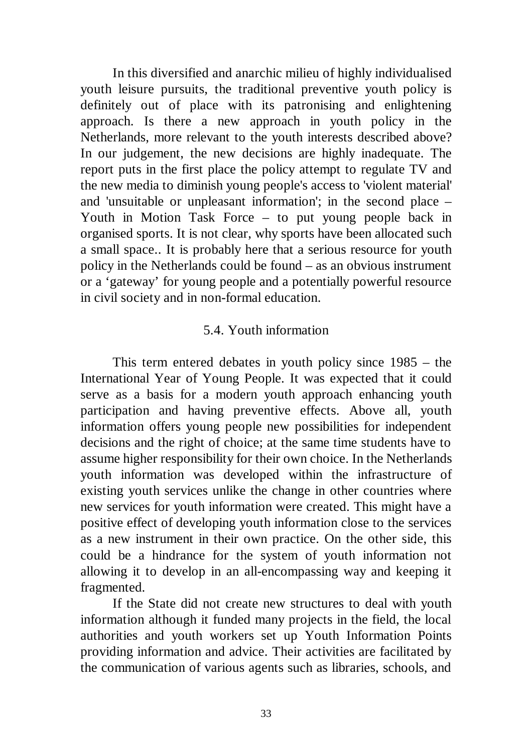In this diversified and anarchic milieu of highly individualised youth leisure pursuits, the traditional preventive youth policy is definitely out of place with its patronising and enlightening approach. Is there a new approach in youth policy in the Netherlands, more relevant to the youth interests described above? In our judgement, the new decisions are highly inadequate. The report puts in the first place the policy attempt to regulate TV and the new media to diminish young people's access to 'violent material' and 'unsuitable or unpleasant information'; in the second place – Youth in Motion Task Force – to put young people back in organised sports. It is not clear, why sports have been allocated such a small space.. It is probably here that a serious resource for youth policy in the Netherlands could be found – as an obvious instrument or a 'gateway' for young people and a potentially powerful resource in civil society and in non-formal education.

### 5.4. Youth information

This term entered debates in youth policy since 1985 – the International Year of Young People. It was expected that it could serve as a basis for a modern youth approach enhancing youth participation and having preventive effects. Above all, youth information offers young people new possibilities for independent decisions and the right of choice; at the same time students have to assume higher responsibility for their own choice. In the Netherlands youth information was developed within the infrastructure of existing youth services unlike the change in other countries where new services for youth information were created. This might have a positive effect of developing youth information close to the services as a new instrument in their own practice. On the other side, this could be a hindrance for the system of youth information not allowing it to develop in an all-encompassing way and keeping it fragmented.

If the State did not create new structures to deal with youth information although it funded many projects in the field, the local authorities and youth workers set up Youth Information Points providing information and advice. Their activities are facilitated by the communication of various agents such as libraries, schools, and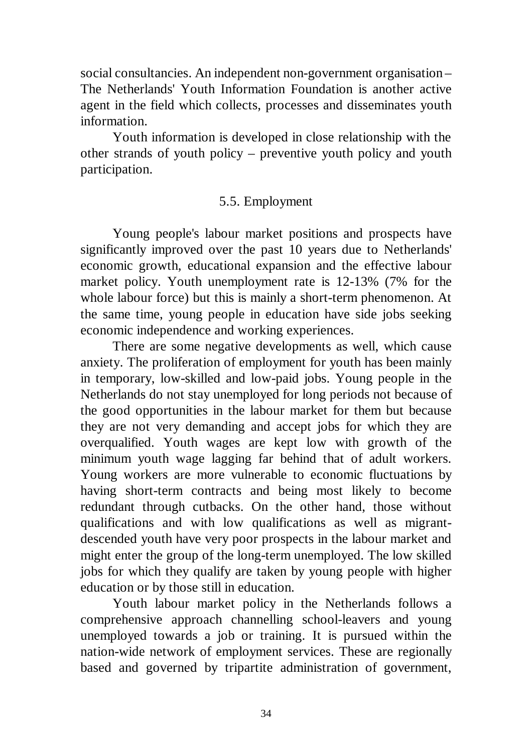social consultancies. An independent non-government organisation – The Netherlands' Youth Information Foundation is another active agent in the field which collects, processes and disseminates youth information.

Youth information is developed in close relationship with the other strands of youth policy – preventive youth policy and youth participation.

## 5.5. Employment

Young people's labour market positions and prospects have significantly improved over the past 10 years due to Netherlands' economic growth, educational expansion and the effective labour market policy. Youth unemployment rate is 12-13% (7% for the whole labour force) but this is mainly a short-term phenomenon. At the same time, young people in education have side jobs seeking economic independence and working experiences.

There are some negative developments as well, which cause anxiety. The proliferation of employment for youth has been mainly in temporary, low-skilled and low-paid jobs. Young people in the Netherlands do not stay unemployed for long periods not because of the good opportunities in the labour market for them but because they are not very demanding and accept jobs for which they are overqualified. Youth wages are kept low with growth of the minimum youth wage lagging far behind that of adult workers. Young workers are more vulnerable to economic fluctuations by having short-term contracts and being most likely to become redundant through cutbacks. On the other hand, those without qualifications and with low qualifications as well as migrantdescended youth have very poor prospects in the labour market and might enter the group of the long-term unemployed. The low skilled jobs for which they qualify are taken by young people with higher education or by those still in education.

Youth labour market policy in the Netherlands follows a comprehensive approach channelling school-leavers and young unemployed towards a job or training. It is pursued within the nation-wide network of employment services. These are regionally based and governed by tripartite administration of government,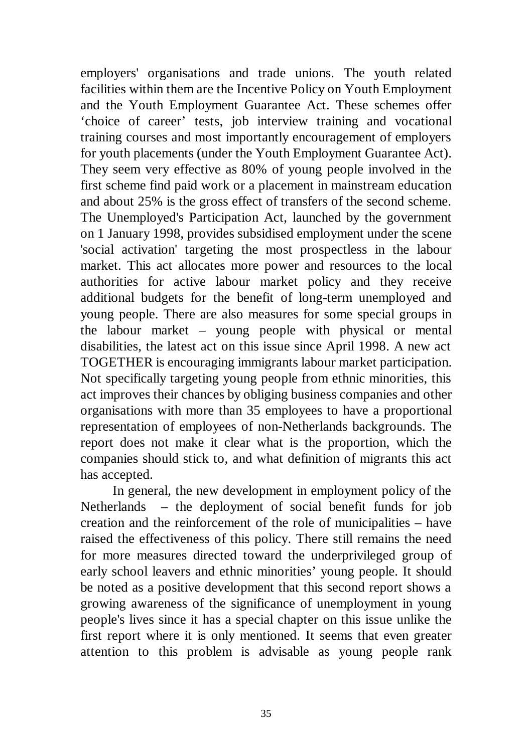employers' organisations and trade unions. The youth related facilities within them are the Incentive Policy on Youth Employment and the Youth Employment Guarantee Act. These schemes offer 'choice of career' tests, job interview training and vocational training courses and most importantly encouragement of employers for youth placements (under the Youth Employment Guarantee Act). They seem very effective as 80% of young people involved in the first scheme find paid work or a placement in mainstream education and about 25% is the gross effect of transfers of the second scheme. The Unemployed's Participation Act, launched by the government on 1 January 1998, provides subsidised employment under the scene 'social activation' targeting the most prospectless in the labour market. This act allocates more power and resources to the local authorities for active labour market policy and they receive additional budgets for the benefit of long-term unemployed and young people. There are also measures for some special groups in the labour market – young people with physical or mental disabilities, the latest act on this issue since April 1998. A new act TOGETHER is encouraging immigrants labour market participation. Not specifically targeting young people from ethnic minorities, this act improves their chances by obliging business companies and other organisations with more than 35 employees to have a proportional representation of employees of non-Netherlands backgrounds. The report does not make it clear what is the proportion, which the companies should stick to, and what definition of migrants this act has accepted.

In general, the new development in employment policy of the Netherlands – the deployment of social benefit funds for job creation and the reinforcement of the role of municipalities – have raised the effectiveness of this policy. There still remains the need for more measures directed toward the underprivileged group of early school leavers and ethnic minorities' young people. It should be noted as a positive development that this second report shows a growing awareness of the significance of unemployment in young people's lives since it has a special chapter on this issue unlike the first report where it is only mentioned. It seems that even greater attention to this problem is advisable as young people rank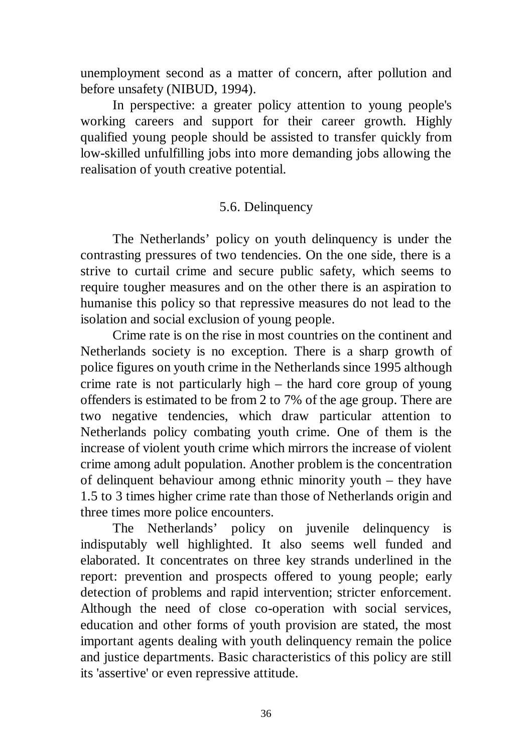unemployment second as a matter of concern, after pollution and before unsafety (NIBUD, 1994).

In perspective: a greater policy attention to young people's working careers and support for their career growth. Highly qualified young people should be assisted to transfer quickly from low-skilled unfulfilling jobs into more demanding jobs allowing the realisation of youth creative potential.

## 5.6. Delinquency

The Netherlands' policy on youth delinquency is under the contrasting pressures of two tendencies. On the one side, there is a strive to curtail crime and secure public safety, which seems to require tougher measures and on the other there is an aspiration to humanise this policy so that repressive measures do not lead to the isolation and social exclusion of young people.

Crime rate is on the rise in most countries on the continent and Netherlands society is no exception. There is a sharp growth of police figures on youth crime in the Netherlands since 1995 although crime rate is not particularly high – the hard core group of young offenders is estimated to be from 2 to 7% of the age group. There are two negative tendencies, which draw particular attention to Netherlands policy combating youth crime. One of them is the increase of violent youth crime which mirrors the increase of violent crime among adult population. Another problem is the concentration of delinquent behaviour among ethnic minority youth – they have 1.5 to 3 times higher crime rate than those of Netherlands origin and three times more police encounters.

The Netherlands' policy on juvenile delinquency is indisputably well highlighted. It also seems well funded and elaborated. It concentrates on three key strands underlined in the report: prevention and prospects offered to young people; early detection of problems and rapid intervention; stricter enforcement. Although the need of close co-operation with social services, education and other forms of youth provision are stated, the most important agents dealing with youth delinquency remain the police and justice departments. Basic characteristics of this policy are still its 'assertive' or even repressive attitude.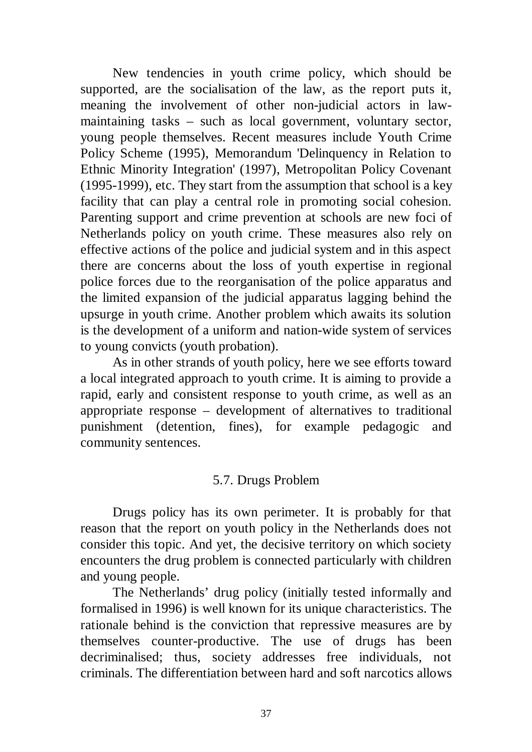New tendencies in youth crime policy, which should be supported, are the socialisation of the law, as the report puts it, meaning the involvement of other non-judicial actors in lawmaintaining tasks – such as local government, voluntary sector, young people themselves. Recent measures include Youth Crime Policy Scheme (1995), Memorandum 'Delinquency in Relation to Ethnic Minority Integration' (1997), Metropolitan Policy Covenant (1995-1999), etc. They start from the assumption that school is a key facility that can play a central role in promoting social cohesion. Parenting support and crime prevention at schools are new foci of Netherlands policy on youth crime. These measures also rely on effective actions of the police and judicial system and in this aspect there are concerns about the loss of youth expertise in regional police forces due to the reorganisation of the police apparatus and the limited expansion of the judicial apparatus lagging behind the upsurge in youth crime. Another problem which awaits its solution is the development of a uniform and nation-wide system of services to young convicts (youth probation).

As in other strands of youth policy, here we see efforts toward a local integrated approach to youth crime. It is aiming to provide a rapid, early and consistent response to youth crime, as well as an appropriate response – development of alternatives to traditional punishment (detention, fines), for example pedagogic and community sentences.

## 5.7. Drugs Problem

Drugs policy has its own perimeter. It is probably for that reason that the report on youth policy in the Netherlands does not consider this topic. And yet, the decisive territory on which society encounters the drug problem is connected particularly with children and young people.

The Netherlands' drug policy (initially tested informally and formalised in 1996) is well known for its unique characteristics. The rationale behind is the conviction that repressive measures are by themselves counter-productive. The use of drugs has been decriminalised; thus, society addresses free individuals, not criminals. The differentiation between hard and soft narcotics allows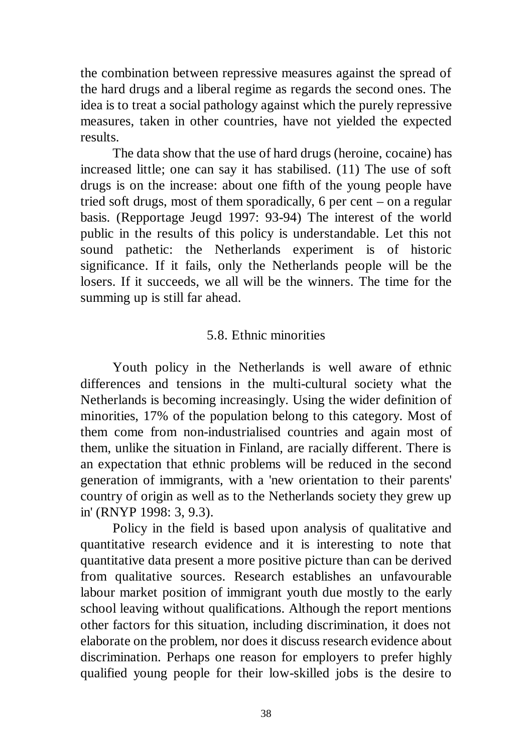the combination between repressive measures against the spread of the hard drugs and a liberal regime as regards the second ones. The idea is to treat a social pathology against which the purely repressive measures, taken in other countries, have not yielded the expected results.

The data show that the use of hard drugs (heroine, cocaine) has increased little; one can say it has stabilised. (11) The use of soft drugs is on the increase: about one fifth of the young people have tried soft drugs, most of them sporadically, 6 per cent – on a regular basis. (Repportage Jeugd 1997: 93-94) The interest of the world public in the results of this policy is understandable. Let this not sound pathetic: the Netherlands experiment is of historic significance. If it fails, only the Netherlands people will be the losers. If it succeeds, we all will be the winners. The time for the summing up is still far ahead.

## 5.8. Ethnic minorities

Youth policy in the Netherlands is well aware of ethnic differences and tensions in the multi-cultural society what the Netherlands is becoming increasingly. Using the wider definition of minorities, 17% of the population belong to this category. Most of them come from non-industrialised countries and again most of them, unlike the situation in Finland, are racially different. There is an expectation that ethnic problems will be reduced in the second generation of immigrants, with a 'new orientation to their parents' country of origin as well as to the Netherlands society they grew up in' (RNYP 1998: 3, 9.3).

Policy in the field is based upon analysis of qualitative and quantitative research evidence and it is interesting to note that quantitative data present a more positive picture than can be derived from qualitative sources. Research establishes an unfavourable labour market position of immigrant youth due mostly to the early school leaving without qualifications. Although the report mentions other factors for this situation, including discrimination, it does not elaborate on the problem, nor does it discuss research evidence about discrimination. Perhaps one reason for employers to prefer highly qualified young people for their low-skilled jobs is the desire to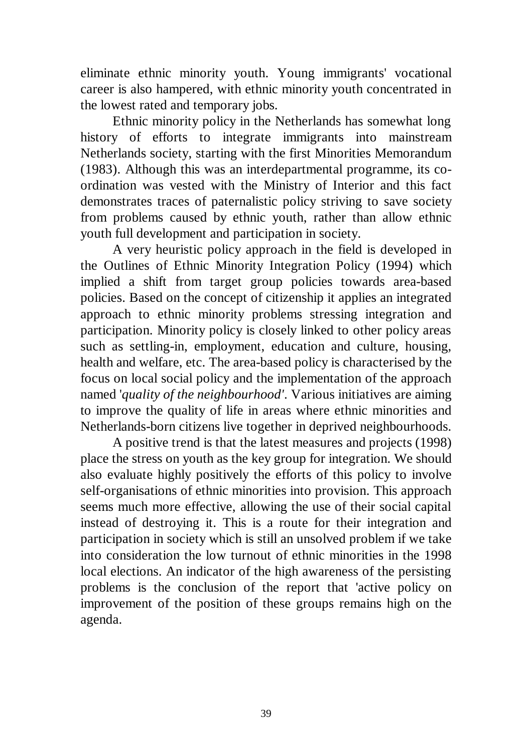eliminate ethnic minority youth. Young immigrants' vocational career is also hampered, with ethnic minority youth concentrated in the lowest rated and temporary jobs.

Ethnic minority policy in the Netherlands has somewhat long history of efforts to integrate immigrants into mainstream Netherlands society, starting with the first Minorities Memorandum (1983). Although this was an interdepartmental programme, its coordination was vested with the Ministry of Interior and this fact demonstrates traces of paternalistic policy striving to save society from problems caused by ethnic youth, rather than allow ethnic youth full development and participation in society.

A very heuristic policy approach in the field is developed in the Outlines of Ethnic Minority Integration Policy (1994) which implied a shift from target group policies towards area-based policies. Based on the concept of citizenship it applies an integrated approach to ethnic minority problems stressing integration and participation. Minority policy is closely linked to other policy areas such as settling-in, employment, education and culture, housing, health and welfare, etc. The area-based policy is characterised by the focus on local social policy and the implementation of the approach named '*quality of the neighbourhood'*. Various initiatives are aiming to improve the quality of life in areas where ethnic minorities and Netherlands-born citizens live together in deprived neighbourhoods.

A positive trend is that the latest measures and projects (1998) place the stress on youth as the key group for integration. We should also evaluate highly positively the efforts of this policy to involve self-organisations of ethnic minorities into provision. This approach seems much more effective, allowing the use of their social capital instead of destroying it. This is a route for their integration and participation in society which is still an unsolved problem if we take into consideration the low turnout of ethnic minorities in the 1998 local elections. An indicator of the high awareness of the persisting problems is the conclusion of the report that 'active policy on improvement of the position of these groups remains high on the agenda.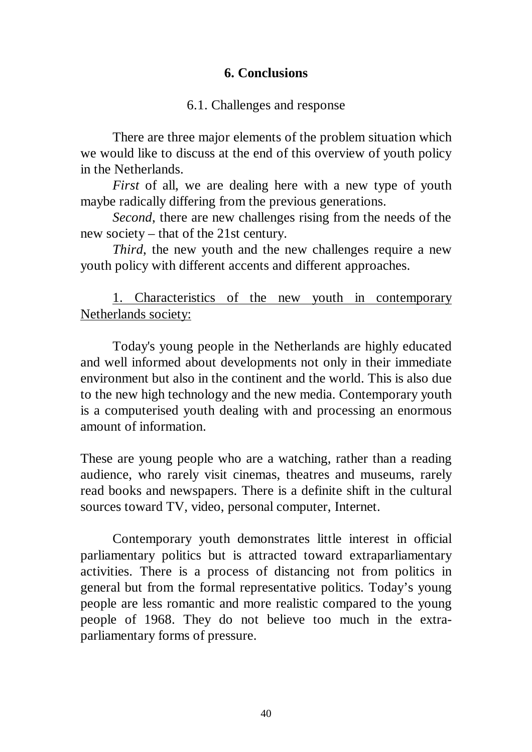## **6. Conclusions**

## 6.1. Challenges and response

There are three major elements of the problem situation which we would like to discuss at the end of this overview of youth policy in the Netherlands.

*First* of all, we are dealing here with a new type of youth maybe radically differing from the previous generations.

*Second*, there are new challenges rising from the needs of the new society – that of the 21st century.

*Third*, the new youth and the new challenges require a new youth policy with different accents and different approaches.

1. Characteristics of the new youth in contemporary Netherlands society:

Today's young people in the Netherlands are highly educated and well informed about developments not only in their immediate environment but also in the continent and the world. This is also due to the new high technology and the new media. Contemporary youth is a computerised youth dealing with and processing an enormous amount of information.

These are young people who are a watching, rather than a reading audience, who rarely visit cinemas, theatres and museums, rarely read books and newspapers. There is a definite shift in the cultural sources toward TV, video, personal computer, Internet.

Contemporary youth demonstrates little interest in official parliamentary politics but is attracted toward extraparliamentary activities. There is a process of distancing not from politics in general but from the formal representative politics. Today's young people are less romantic and more realistic compared to the young people of 1968. They do not believe too much in the extraparliamentary forms of pressure.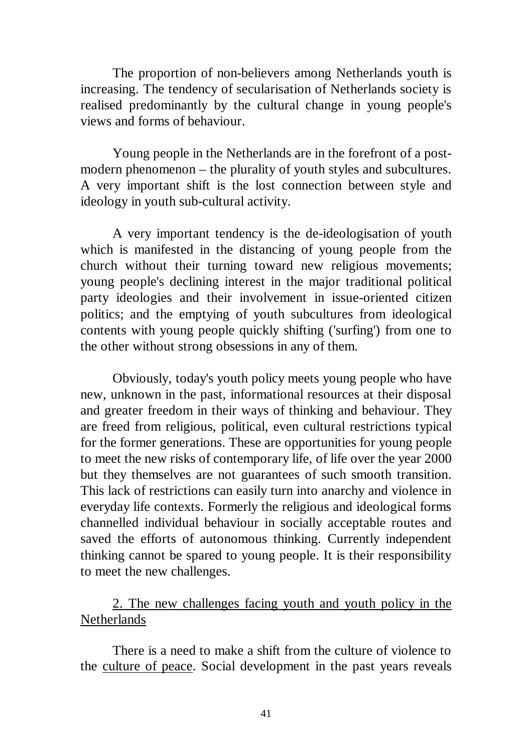The proportion of non-believers among Netherlands youth is increasing. The tendency of secularisation of Netherlands society is realised predominantly by the cultural change in young people's views and forms of behaviour.

Young people in the Netherlands are in the forefront of a postmodern phenomenon – the plurality of youth styles and subcultures. A very important shift is the lost connection between style and ideology in youth sub-cultural activity.

A very important tendency is the de-ideologisation of youth which is manifested in the distancing of young people from the church without their turning toward new religious movements; young people's declining interest in the major traditional political party ideologies and their involvement in issue-oriented citizen politics; and the emptying of youth subcultures from ideological contents with young people quickly shifting ('surfing') from one to the other without strong obsessions in any of them.

Obviously, today's youth policy meets young people who have new, unknown in the past, informational resources at their disposal and greater freedom in their ways of thinking and behaviour. They are freed from religious, political, even cultural restrictions typical for the former generations. These are opportunities for young people to meet the new risks of contemporary life, of life over the year 2000 but they themselves are not guarantees of such smooth transition. This lack of restrictions can easily turn into anarchy and violence in everyday life contexts. Formerly the religious and ideological forms channelled individual behaviour in socially acceptable routes and saved the efforts of autonomous thinking. Currently independent thinking cannot be spared to young people. It is their responsibility to meet the new challenges.

# 2. The new challenges facing youth and youth policy in the Netherlands

There is a need to make a shift from the culture of violence to the culture of peace. Social development in the past years reveals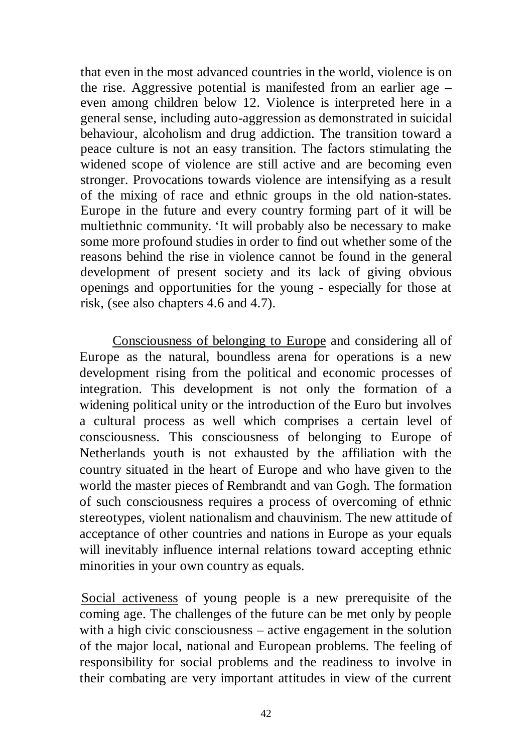that even in the most advanced countries in the world, violence is on the rise. Aggressive potential is manifested from an earlier age – even among children below 12. Violence is interpreted here in a general sense, including auto-aggression as demonstrated in suicidal behaviour, alcoholism and drug addiction. The transition toward a peace culture is not an easy transition. The factors stimulating the widened scope of violence are still active and are becoming even stronger. Provocations towards violence are intensifying as a result of the mixing of race and ethnic groups in the old nation-states. Europe in the future and every country forming part of it will be multiethnic community. 'It will probably also be necessary to make some more profound studies in order to find out whether some of the reasons behind the rise in violence cannot be found in the general development of present society and its lack of giving obvious openings and opportunities for the young - especially for those at risk, (see also chapters 4.6 and 4.7).

Consciousness of belonging to Europe and considering all of Europe as the natural, boundless arena for operations is a new development rising from the political and economic processes of integration. This development is not only the formation of a widening political unity or the introduction of the Euro but involves a cultural process as well which comprises a certain level of consciousness. This consciousness of belonging to Europe of Netherlands youth is not exhausted by the affiliation with the country situated in the heart of Europe and who have given to the world the master pieces of Rembrandt and van Gogh. The formation of such consciousness requires a process of overcoming of ethnic stereotypes, violent nationalism and chauvinism. The new attitude of acceptance of other countries and nations in Europe as your equals will inevitably influence internal relations toward accepting ethnic minorities in your own country as equals.

Social activeness of young people is a new prerequisite of the coming age. The challenges of the future can be met only by people with a high civic consciousness – active engagement in the solution of the major local, national and European problems. The feeling of responsibility for social problems and the readiness to involve in their combating are very important attitudes in view of the current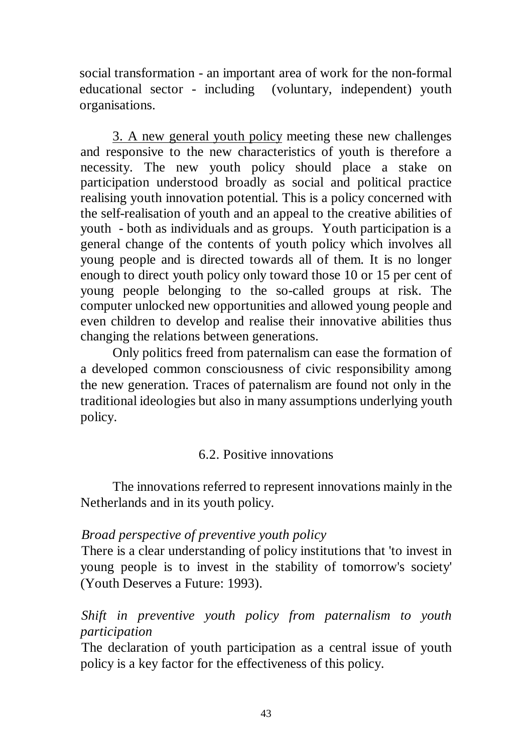social transformation - an important area of work for the non-formal educational sector - including (voluntary, independent) youth organisations.

3. A new general youth policy meeting these new challenges and responsive to the new characteristics of youth is therefore a necessity. The new youth policy should place a stake on participation understood broadly as social and political practice realising youth innovation potential. This is a policy concerned with the self-realisation of youth and an appeal to the creative abilities of youth - both as individuals and as groups. Youth participation is a general change of the contents of youth policy which involves all young people and is directed towards all of them. It is no longer enough to direct youth policy only toward those 10 or 15 per cent of young people belonging to the so-called groups at risk. The computer unlocked new opportunities and allowed young people and even children to develop and realise their innovative abilities thus changing the relations between generations.

Only politics freed from paternalism can ease the formation of a developed common consciousness of civic responsibility among the new generation. Traces of paternalism are found not only in the traditional ideologies but also in many assumptions underlying youth policy.

# 6.2. Positive innovations

The innovations referred to represent innovations mainly in the Netherlands and in its youth policy.

## *Broad perspective of preventive youth policy*

There is a clear understanding of policy institutions that 'to invest in young people is to invest in the stability of tomorrow's society' (Youth Deserves a Future: 1993).

# *Shift in preventive youth policy from paternalism to youth participation*

The declaration of youth participation as a central issue of youth policy is a key factor for the effectiveness of this policy.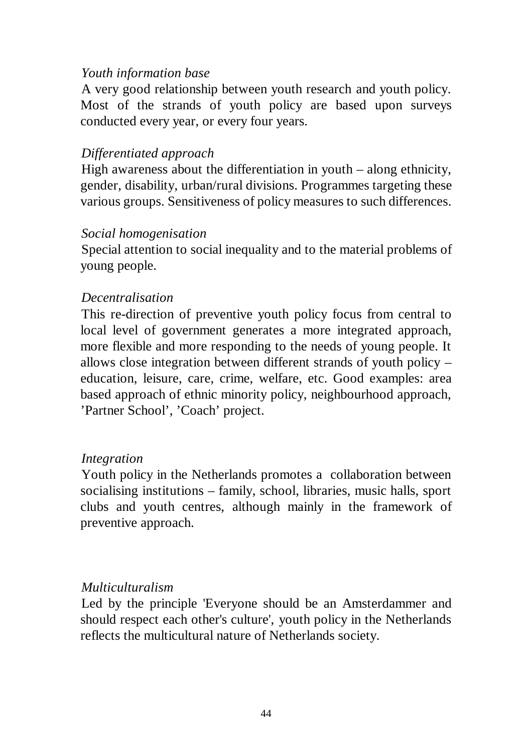## *Youth information base*

A very good relationship between youth research and youth policy. Most of the strands of youth policy are based upon surveys conducted every year, or every four years.

## *Differentiated approach*

High awareness about the differentiation in youth – along ethnicity, gender, disability, urban/rural divisions. Programmes targeting these various groups. Sensitiveness of policy measures to such differences.

## *Social homogenisation*

Special attention to social inequality and to the material problems of young people.

## *Decentralisation*

This re-direction of preventive youth policy focus from central to local level of government generates a more integrated approach, more flexible and more responding to the needs of young people. It allows close integration between different strands of youth policy – education, leisure, care, crime, welfare, etc. Good examples: area based approach of ethnic minority policy, neighbourhood approach, 'Partner School', 'Coach' project.

## *Integration*

Youth policy in the Netherlands promotes a collaboration between socialising institutions – family, school, libraries, music halls, sport clubs and youth centres, although mainly in the framework of preventive approach.

# *Multiculturalism*

Led by the principle 'Everyone should be an Amsterdammer and should respect each other's culture', youth policy in the Netherlands reflects the multicultural nature of Netherlands society.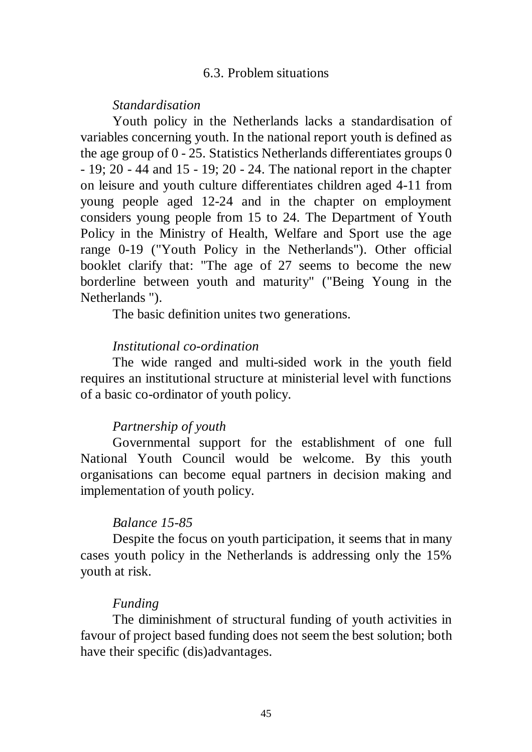#### 6.3. Problem situations

*Standardisation* 

Youth policy in the Netherlands lacks a standardisation of variables concerning youth. In the national report youth is defined as the age group of 0 - 25. Statistics Netherlands differentiates groups 0 - 19; 20 - 44 and 15 - 19; 20 - 24. The national report in the chapter on leisure and youth culture differentiates children aged 4-11 from young people aged 12-24 and in the chapter on employment considers young people from 15 to 24. The Department of Youth Policy in the Ministry of Health, Welfare and Sport use the age range 0-19 ("Youth Policy in the Netherlands"). Other official booklet clarify that: "The age of 27 seems to become the new borderline between youth and maturity" ("Being Young in the Netherlands ").

The basic definition unites two generations.

#### *Institutional co-ordination*

The wide ranged and multi-sided work in the youth field requires an institutional structure at ministerial level with functions of a basic co-ordinator of youth policy.

#### *Partnership of youth*

Governmental support for the establishment of one full National Youth Council would be welcome. By this youth organisations can become equal partners in decision making and implementation of youth policy.

#### *Balance 15-85*

Despite the focus on youth participation, it seems that in many cases youth policy in the Netherlands is addressing only the 15% youth at risk.

#### *Funding*

The diminishment of structural funding of youth activities in favour of project based funding does not seem the best solution; both have their specific (dis)advantages.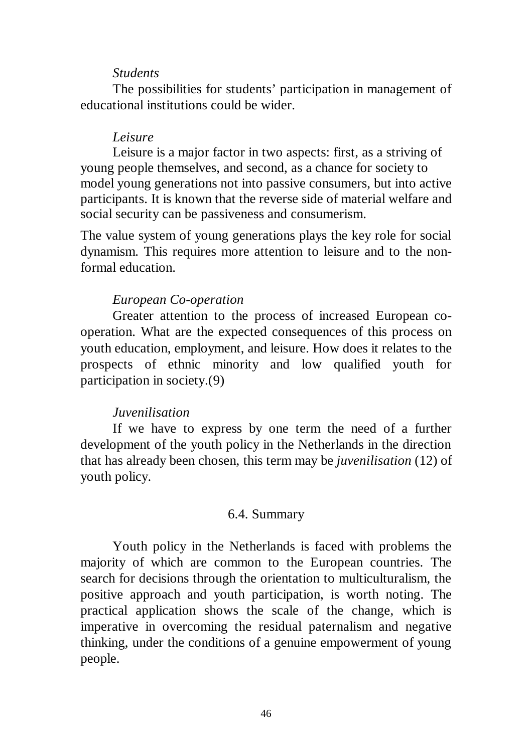#### *Students*

The possibilities for students' participation in management of educational institutions could be wider.

### *Leisure*

Leisure is a major factor in two aspects: first, as a striving of young people themselves, and second, as a chance for society to model young generations not into passive consumers, but into active participants. It is known that the reverse side of material welfare and social security can be passiveness and consumerism.

The value system of young generations plays the key role for social dynamism. This requires more attention to leisure and to the nonformal education.

### *European Co-operation*

Greater attention to the process of increased European cooperation. What are the expected consequences of this process on youth education, employment, and leisure. How does it relates to the prospects of ethnic minority and low qualified youth for participation in society.(9)

### *Juvenilisation*

If we have to express by one term the need of a further development of the youth policy in the Netherlands in the direction that has already been chosen, this term may be *juvenilisation* (12) of youth policy.

#### 6.4. Summary

Youth policy in the Netherlands is faced with problems the majority of which are common to the European countries. The search for decisions through the orientation to multiculturalism, the positive approach and youth participation, is worth noting. The practical application shows the scale of the change, which is imperative in overcoming the residual paternalism and negative thinking, under the conditions of a genuine empowerment of young people.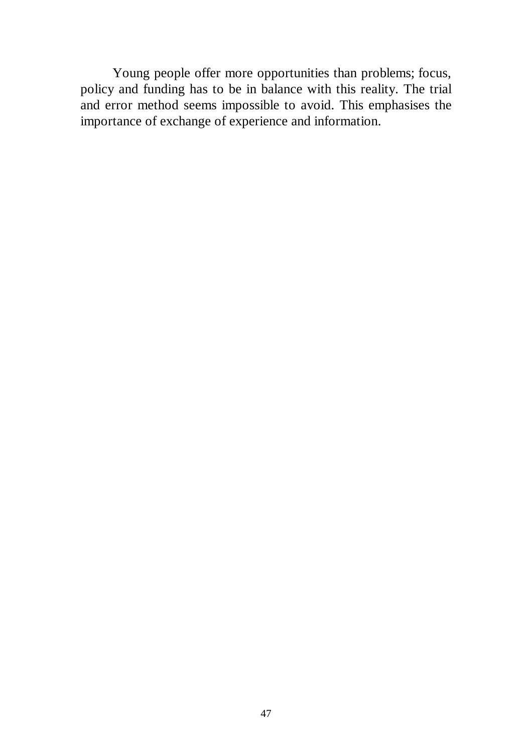Young people offer more opportunities than problems; focus, policy and funding has to be in balance with this reality. The trial and error method seems impossible to avoid. This emphasises the importance of exchange of experience and information.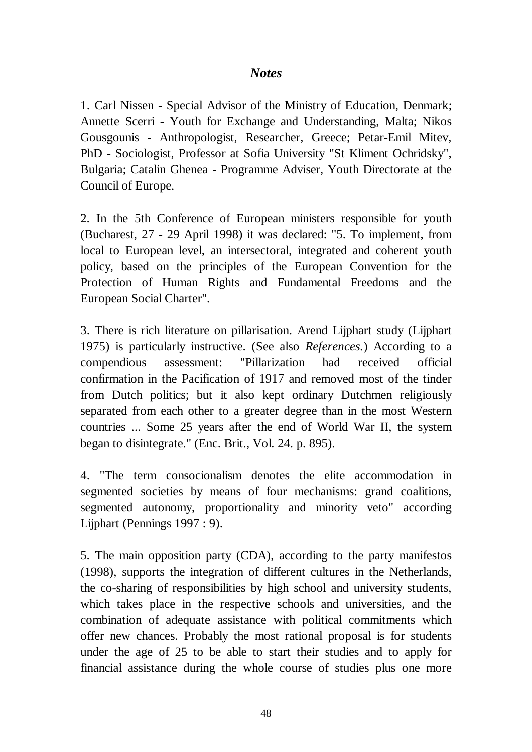## *Notes*

1. Carl Nissen - Special Advisor of the Ministry of Education, Denmark; Annette Scerri - Youth for Exchange and Understanding, Malta; Nikos Gousgounis - Anthropologist, Researcher, Greece; Petar-Emil Mitev, PhD - Sociologist, Professor at Sofia University "St Kliment Ochridsky", Bulgaria; Catalin Ghenea - Programme Adviser, Youth Directorate at the Council of Europe.

2. In the 5th Conference of European ministers responsible for youth (Bucharest, 27 - 29 April 1998) it was declared: "5. To implement, from local to European level, an intersectoral, integrated and coherent youth policy, based on the principles of the European Convention for the Protection of Human Rights and Fundamental Freedoms and the European Social Charter".

3. There is rich literature on pillarisation. Arend Lijphart study (Lijphart 1975) is particularly instructive. (See also *References.*) According to a compendious assessment: "Pillarization had received official confirmation in the Pacification of 1917 and removed most of the tinder from Dutch politics; but it also kept ordinary Dutchmen religiously separated from each other to a greater degree than in the most Western countries ... Some 25 years after the end of World War II, the system began to disintegrate." (Enc. Brit., Vol. 24. p. 895).

4. "The term consocionalism denotes the elite accommodation in segmented societies by means of four mechanisms: grand coalitions, segmented autonomy, proportionality and minority veto" according Lijphart (Pennings 1997 : 9).

5. The main opposition party (CDA), according to the party manifestos (1998), supports the integration of different cultures in the Netherlands, the co-sharing of responsibilities by high school and university students, which takes place in the respective schools and universities, and the combination of adequate assistance with political commitments which offer new chances. Probably the most rational proposal is for students under the age of 25 to be able to start their studies and to apply for financial assistance during the whole course of studies plus one more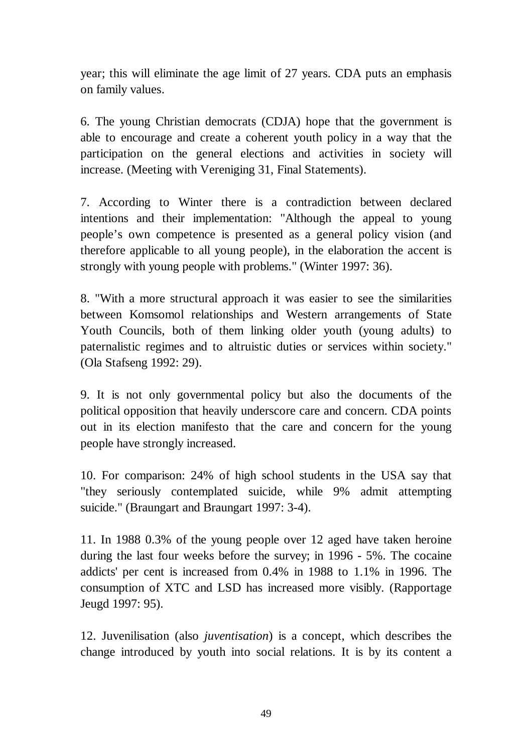year; this will eliminate the age limit of 27 years. CDA puts an emphasis on family values.

6. The young Christian democrats (CDJA) hope that the government is able to encourage and create a coherent youth policy in a way that the participation on the general elections and activities in society will increase. (Meeting with Vereniging 31, Final Statements).

7. According to Winter there is a contradiction between declared intentions and their implementation: "Although the appeal to young people's own competence is presented as a general policy vision (and therefore applicable to all young people), in the elaboration the accent is strongly with young people with problems." (Winter 1997: 36).

8. "With a more structural approach it was easier to see the similarities between Komsomol relationships and Western arrangements of State Youth Councils, both of them linking older youth (young adults) to paternalistic regimes and to altruistic duties or services within society." (Ola Stafseng 1992: 29).

9. It is not only governmental policy but also the documents of the political opposition that heavily underscore care and concern. CDA points out in its election manifesto that the care and concern for the young people have strongly increased.

10. For comparison: 24% of high school students in the USA say that "they seriously contemplated suicide, while 9% admit attempting suicide." (Braungart and Braungart 1997: 3-4).

11. In 1988 0.3% of the young people over 12 aged have taken heroine during the last four weeks before the survey; in 1996 - 5%. The cocaine addicts' per cent is increased from 0.4% in 1988 to 1.1% in 1996. The consumption of XTC and LSD has increased more visibly. (Rapportage Jeugd 1997: 95).

12. Juvenilisation (also *juventisation*) is a concept, which describes the change introduced by youth into social relations. It is by its content a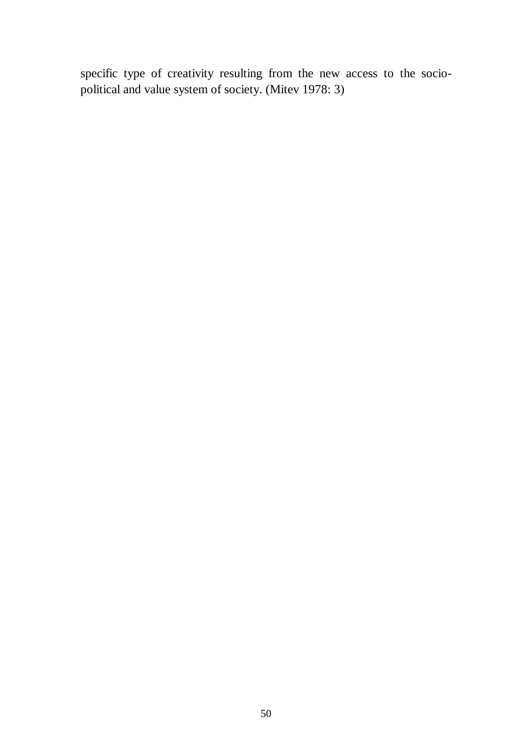specific type of creativity resulting from the new access to the sociopolitical and value system of society. (Mitev 1978: 3)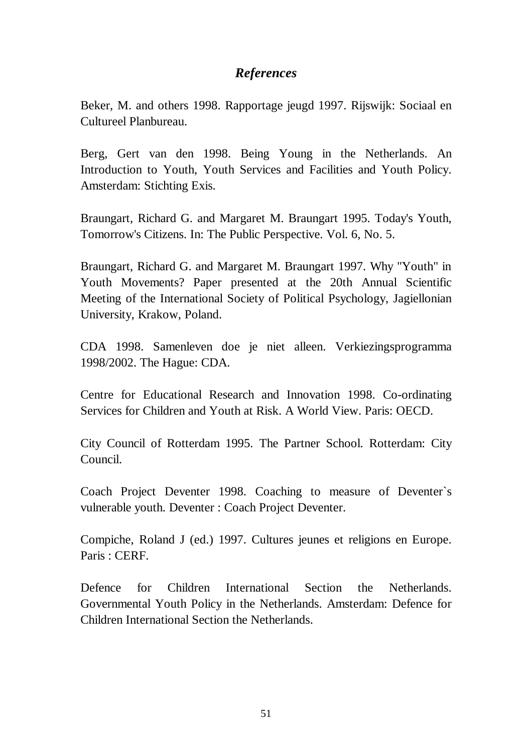# *References*

Beker, M. and others 1998. Rapportage jeugd 1997. Rijswijk: Sociaal en Cultureel Planbureau.

Berg, Gert van den 1998. Being Young in the Netherlands. An Introduction to Youth, Youth Services and Facilities and Youth Policy. Amsterdam: Stichting Exis.

Braungart, Richard G. and Margaret M. Braungart 1995. Today's Youth, Tomorrow's Citizens. In: The Public Perspective. Vol. 6, No. 5.

Braungart, Richard G. and Margaret M. Braungart 1997. Why "Youth" in Youth Movements? Paper presented at the 20th Annual Scientific Meeting of the International Society of Political Psychology, Jagiellonian University, Krakow, Poland.

CDA 1998. Samenleven doe je niet alleen. Verkiezingsprogramma 1998/2002. The Hague: CDA.

Centre for Educational Research and Innovation 1998. Co-ordinating Services for Children and Youth at Risk. A World View. Paris: OECD.

City Council of Rotterdam 1995. The Partner School. Rotterdam: City Council.

Coach Project Deventer 1998. Coaching to measure of Deventer`s vulnerable youth. Deventer : Coach Project Deventer.

Compiche, Roland J (ed.) 1997. Cultures jeunes et religions en Europe. Paris : CERF.

Defence for Children International Section the Netherlands. Governmental Youth Policy in the Netherlands. Amsterdam: Defence for Children International Section the Netherlands.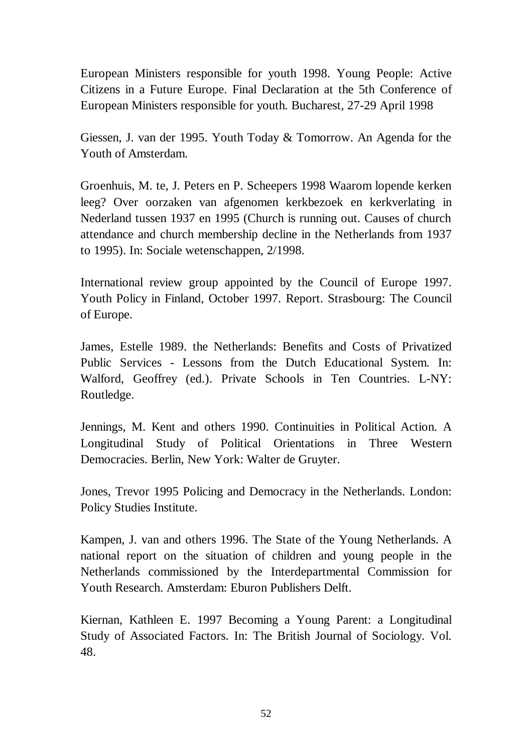European Ministers responsible for youth 1998. Young People: Active Citizens in a Future Europe. Final Declaration at the 5th Conference of European Ministers responsible for youth. Bucharest, 27-29 April 1998

Giessen, J. van der 1995. Youth Today & Tomorrow. An Agenda for the Youth of Amsterdam.

Groenhuis, M. te, J. Peters en P. Scheepers 1998 Waarom lopende kerken leeg? Over oorzaken van afgenomen kerkbezoek en kerkverlating in Nederland tussen 1937 en 1995 (Church is running out. Causes of church attendance and church membership decline in the Netherlands from 1937 to 1995). In: Sociale wetenschappen, 2/1998.

International review group appointed by the Council of Europe 1997. Youth Policy in Finland, October 1997. Report. Strasbourg: The Council of Europe.

James, Estelle 1989. the Netherlands: Benefits and Costs of Privatized Public Services - Lessons from the Dutch Educational System. In: Walford, Geoffrey (ed.). Private Schools in Ten Countries. L-NY: Routledge.

Jennings, M. Kent and others 1990. Continuities in Political Action. A Longitudinal Study of Political Orientations in Three Western Democracies. Berlin, New York: Walter de Gruyter.

Jones, Trevor 1995 Policing and Democracy in the Netherlands. London: Policy Studies Institute.

Kampen, J. van and others 1996. The State of the Young Netherlands. A national report on the situation of children and young people in the Netherlands commissioned by the Interdepartmental Commission for Youth Research. Amsterdam: Eburon Publishers Delft.

Kiernan, Kathleen E. 1997 Becoming a Young Parent: a Longitudinal Study of Associated Factors. In: The British Journal of Sociology. Vol. 48.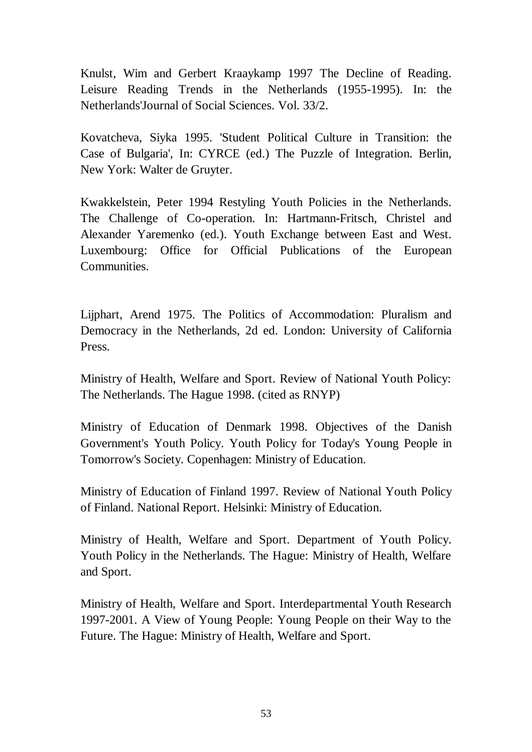Knulst, Wim and Gerbert Kraaykamp 1997 The Decline of Reading. Leisure Reading Trends in the Netherlands (1955-1995). In: the Netherlands'Journal of Social Sciences. Vol. 33/2.

Kovatcheva, Siyka 1995. 'Student Political Culture in Transition: the Case of Bulgaria', In: CYRCE (ed.) The Puzzle of Integration. Berlin, New York: Walter de Gruyter.

Kwakkelstein, Peter 1994 Restyling Youth Policies in the Netherlands. The Challenge of Co-operation. In: Hartmann-Fritsch, Christel and Alexander Yaremenko (ed.). Youth Exchange between East and West. Luxembourg: Office for Official Publications of the European Communities.

Lijphart, Arend 1975. The Politics of Accommodation: Pluralism and Democracy in the Netherlands, 2d ed. London: University of California Press.

Ministry of Health, Welfare and Sport. Review of National Youth Policy: The Netherlands. The Hague 1998. (cited as RNYP)

Ministry of Education of Denmark 1998. Objectives of the Danish Government's Youth Policy. Youth Policy for Today's Young People in Tomorrow's Society. Copenhagen: Ministry of Education.

Ministry of Education of Finland 1997. Review of National Youth Policy of Finland. National Report. Helsinki: Ministry of Education.

Ministry of Health, Welfare and Sport. Department of Youth Policy. Youth Policy in the Netherlands. The Hague: Ministry of Health, Welfare and Sport.

Ministry of Health, Welfare and Sport. Interdepartmental Youth Research 1997-2001. A View of Young People: Young People on their Way to the Future. The Hague: Ministry of Health, Welfare and Sport.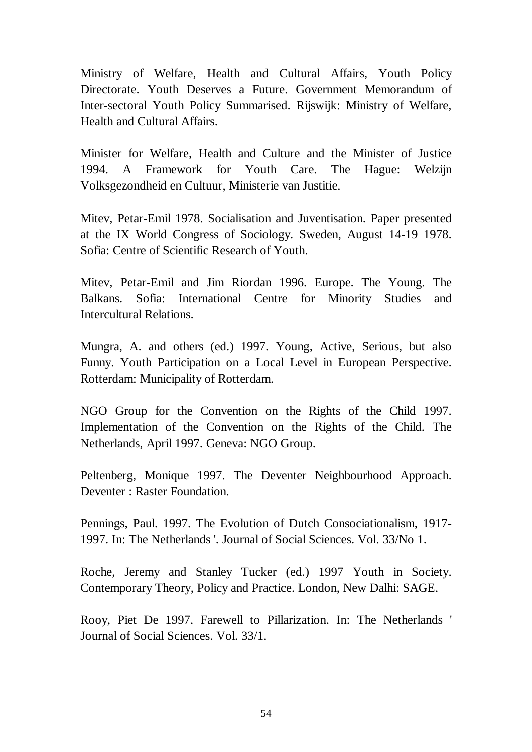Ministry of Welfare, Health and Cultural Affairs, Youth Policy Directorate. Youth Deserves a Future. Government Memorandum of Inter-sectoral Youth Policy Summarised. Rijswijk: Ministry of Welfare, Health and Cultural Affairs.

Minister for Welfare, Health and Culture and the Minister of Justice 1994. A Framework for Youth Care. The Hague: Welzijn Volksgezondheid en Cultuur, Ministerie van Justitie.

Mitev, Petar-Emil 1978. Socialisation and Juventisation. Paper presented at the IX World Congress of Sociology. Sweden, August 14-19 1978. Sofia: Centre of Scientific Research of Youth.

Mitev, Petar-Emil and Jim Riordan 1996. Europe. The Young. The Balkans. Sofia: International Centre for Minority Studies and Intercultural Relations.

Mungra, A. and others (ed.) 1997. Young, Active, Serious, but also Funny. Youth Participation on a Local Level in European Perspective. Rotterdam: Municipality of Rotterdam.

NGO Group for the Convention on the Rights of the Child 1997. Implementation of the Convention on the Rights of the Child. The Netherlands, April 1997. Geneva: NGO Group.

Peltenberg, Monique 1997. The Deventer Neighbourhood Approach. Deventer : Raster Foundation.

Pennings, Paul. 1997. The Evolution of Dutch Consociationalism, 1917- 1997. In: The Netherlands '. Journal of Social Sciences. Vol. 33/No 1.

Roche, Jeremy and Stanley Tucker (ed.) 1997 Youth in Society. Contemporary Theory, Policy and Practice. London, New Dalhi: SAGE.

Rooy, Piet De 1997. Farewell to Pillarization. In: The Netherlands ' Journal of Social Sciences. Vol. 33/1.